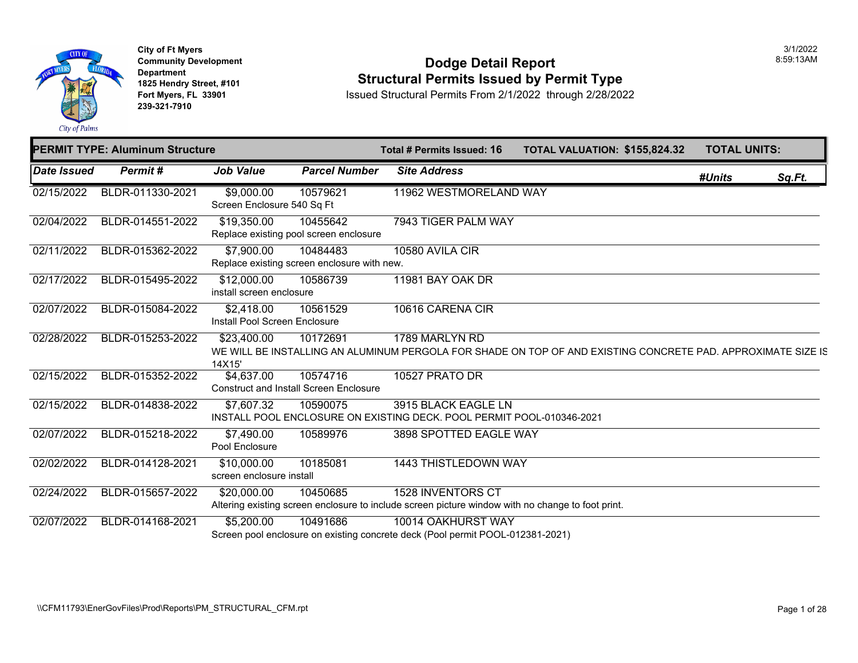

**City of Ft Myers Community Development Department 1825 Hendry Street, #101 Fort Myers, FL 33901 239-321-7910** 

#### **Dodge Detail Report Structural Permits Issued by Permit Type**

|             | <b>PERMIT TYPE: Aluminum Structure</b> |                                                             |                      | Total # Permits Issued: 16                                                                                                    | <b>TOTAL VALUATION: \$155,82</b> |  |
|-------------|----------------------------------------|-------------------------------------------------------------|----------------------|-------------------------------------------------------------------------------------------------------------------------------|----------------------------------|--|
| Date Issued | Permit#                                | <b>Job Value</b>                                            | <b>Parcel Number</b> | <b>Site Address</b>                                                                                                           |                                  |  |
| 02/15/2022  | BLDR-011330-2021                       | \$9,000.00<br>Screen Enclosure 540 Sq Ft                    | 10579621             | 11962 WESTMORELAND WAY                                                                                                        |                                  |  |
| 02/04/2022  | BLDR-014551-2022                       | \$19,350.00<br>Replace existing pool screen enclosure       | 10455642             | 7943 TIGER PALM WAY                                                                                                           |                                  |  |
| 02/11/2022  | BLDR-015362-2022                       | \$7,900.00<br>Replace existing screen enclosure with new.   | 10484483             | 10580 AVILA CIR                                                                                                               |                                  |  |
| 02/17/2022  | BLDR-015495-2022                       | \$12,000.00<br>install screen enclosure                     | 10586739             | 11981 BAY OAK DR                                                                                                              |                                  |  |
| 02/07/2022  | BLDR-015084-2022                       | \$2,418.00<br>Install Pool Screen Enclosure                 | 10561529             | 10616 CARENA CIR                                                                                                              |                                  |  |
| 02/28/2022  | BLDR-015253-2022                       | \$23,400.00<br>14X15'                                       | 10172691             | 1789 MARLYN RD<br>WE WILL BE INSTALLING AN ALUMINUM PERGOLA FOR SHADE ON TOP OF AND EXISTING CON                              |                                  |  |
| 02/15/2022  | BLDR-015352-2022                       | \$4,637.00<br><b>Construct and Install Screen Enclosure</b> | 10574716             | 10527 PRATO DR                                                                                                                |                                  |  |
| 02/15/2022  | BLDR-014838-2022                       | \$7,607.32                                                  | 10590075             | 3915 BLACK EAGLE LN<br>INSTALL POOL ENCLOSURE ON EXISTING DECK. POOL PERMIT POOL-010346-2021                                  |                                  |  |
| 02/07/2022  | BLDR-015218-2022                       | \$7,490.00<br>Pool Enclosure                                | 10589976             | 3898 SPOTTED EAGLE WAY                                                                                                        |                                  |  |
| 02/02/2022  | BLDR-014128-2021                       | \$10,000.00<br>screen enclosure install                     | 10185081             | <b>1443 THISTLEDOWN WAY</b>                                                                                                   |                                  |  |
| 02/24/2022  | BLDR-015657-2022                       | \$20,000.00                                                 | 10450685             | <b>1528 INVENTORS CT</b><br>Altering existing screen enclosure to include screen picture window with no change to foot print. |                                  |  |
| 02/07/2022  | BLDR-014168-2021                       | \$5,200.00                                                  | 10491686             | 10014 OAKHURST WAY<br>Screen pool enclosure on existing concrete deck (Pool permit POOL-012381-2021)                          |                                  |  |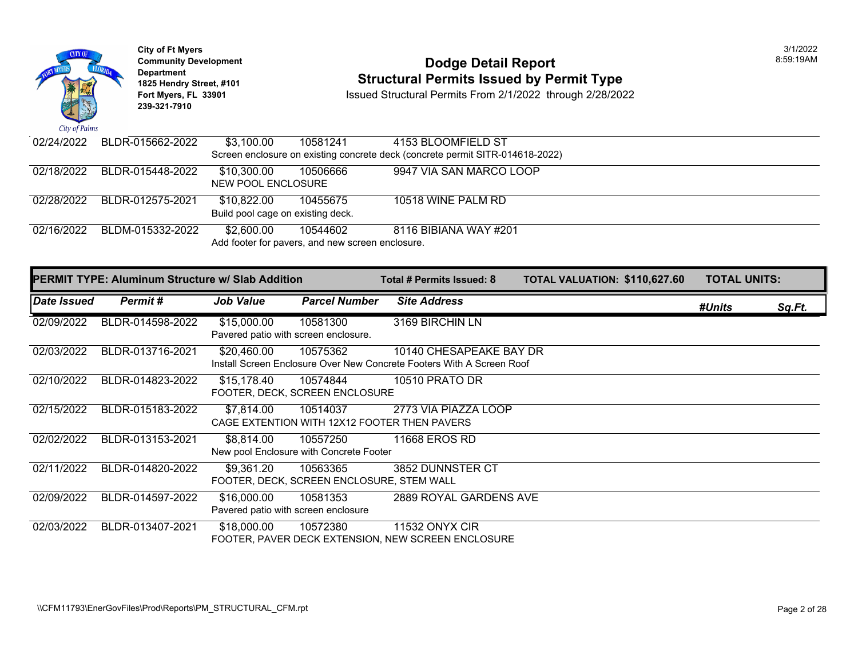

Add footer for pavers, and new screen enclosure.

|             | <b>PERMIT TYPE: Aluminum Structure w/ Slab Addition</b> |                                                     |                                                       | Total # Permits Issued: 8                                                                        | <b>TOTAL VALUATION: \$110,62</b> |  |
|-------------|---------------------------------------------------------|-----------------------------------------------------|-------------------------------------------------------|--------------------------------------------------------------------------------------------------|----------------------------------|--|
| Date Issued | Permit#                                                 | <b>Job Value</b>                                    | <b>Parcel Number</b>                                  | <b>Site Address</b>                                                                              |                                  |  |
| 02/09/2022  | BLDR-014598-2022                                        | \$15,000.00<br>Pavered patio with screen enclosure. | 10581300                                              | 3169 BIRCHIN LN                                                                                  |                                  |  |
| 02/03/2022  | BLDR-013716-2021                                        | \$20,460.00                                         | 10575362                                              | 10140 CHESAPEAKE BAY DR<br>Install Screen Enclosure Over New Concrete Footers With A Screen Roof |                                  |  |
| 02/10/2022  | BLDR-014823-2022                                        | \$15,178.40                                         | 10574844<br>FOOTER, DECK, SCREEN ENCLOSURE            | <b>10510 PRATO DR</b>                                                                            |                                  |  |
| 02/15/2022  | BLDR-015183-2022                                        | \$7,814.00                                          | 10514037                                              | 2773 VIA PIAZZA LOOP<br>CAGE EXTENTION WITH 12X12 FOOTER THEN PAVERS                             |                                  |  |
| 02/02/2022  | BLDR-013153-2021                                        | \$8,814.00                                          | 10557250<br>New pool Enclosure with Concrete Footer   | 11668 EROS RD                                                                                    |                                  |  |
| 02/11/2022  | BLDR-014820-2022                                        | \$9,361.20                                          | 10563365<br>FOOTER, DECK, SCREEN ENCLOSURE, STEM WALL | 3852 DUNNSTER CT                                                                                 |                                  |  |
| 02/09/2022  | BLDR-014597-2022                                        | \$16,000.00<br>Pavered patio with screen enclosure  | 10581353                                              | 2889 ROYAL GARDENS AVE                                                                           |                                  |  |
| 02/03/2022  | BLDR-013407-2021                                        | \$18,000.00                                         | 10572380                                              | <b>11532 ONYX CIR</b><br>FOOTER, PAVER DECK EXTENSION, NEW SCREEN ENCLOSURE                      |                                  |  |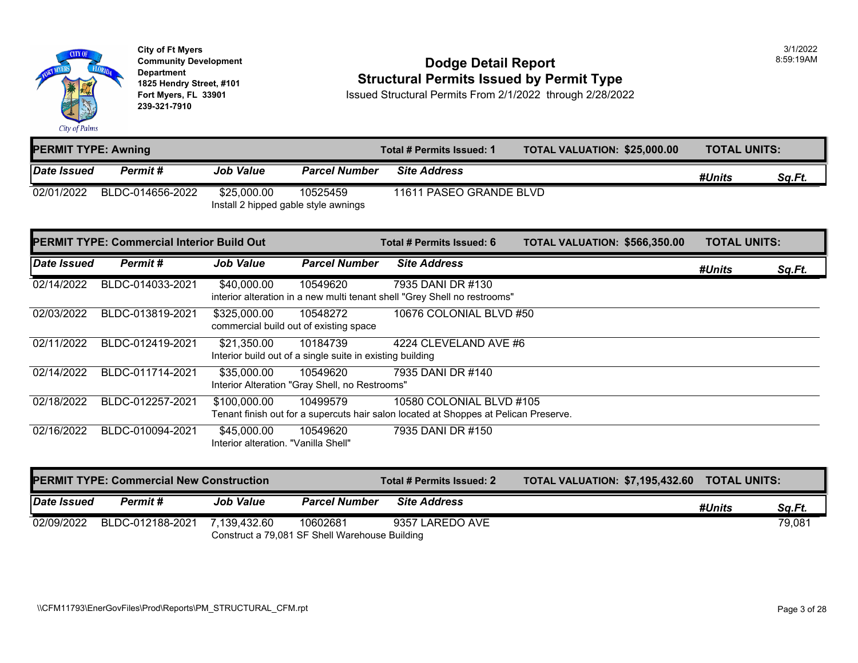

#### **Community Development Dodge Detail Report** 8:59:19AM **1825 Hendry Street, #101**<br>1825 Hendry Street, #101 **Structural Permits Issued by Permit Type**<br>1892 Fort Myers, FL 33901 **Structural Permits From 2/1/2022** through 2/28/202

| <b>PERMIT TYPE: Awning</b> |                  | Total # Permits Issued: 1                           | <b>TOTAL VALUATION: \$25,000.00</b> | <b>TOTAL UNITS:</b>     |  |        |        |
|----------------------------|------------------|-----------------------------------------------------|-------------------------------------|-------------------------|--|--------|--------|
| <b>Date Issued</b>         | Permit #         | <b>Job Value</b>                                    | <b>Parcel Number</b>                | <b>Site Address</b>     |  | #Units | Sq.Ft. |
| 02/01/2022                 | BLDC-014656-2022 | \$25,000.00<br>Install 2 hipped gable style awnings | 10525459                            | 11611 PASEO GRANDE BLVD |  |        |        |

|             | <b>PERMIT TYPE: Commercial Interior Build Out</b> |                                                     |                                                                       | Total # Permits Issued: 6                                                                                        | TOTAL VALUATION: \$566,350.00 | <b>TOTAL UNITS:</b> |        |        |
|-------------|---------------------------------------------------|-----------------------------------------------------|-----------------------------------------------------------------------|------------------------------------------------------------------------------------------------------------------|-------------------------------|---------------------|--------|--------|
| Date Issued | Permit#                                           | Job Value                                           | <b>Parcel Number</b>                                                  | <b>Site Address</b>                                                                                              |                               |                     | #Units | Sq.Ft. |
| 02/14/2022  | BLDC-014033-2021                                  | \$40,000.00                                         | 10549620                                                              | 7935 DANI DR #130<br>interior alteration in a new multi tenant shell "Grey Shell no restrooms"                   |                               |                     |        |        |
| 02/03/2022  | BLDC-013819-2021                                  | \$325,000.00                                        | 10548272<br>commercial build out of existing space                    | 10676 COLONIAL BLVD #50                                                                                          |                               |                     |        |        |
| 02/11/2022  | BLDC-012419-2021                                  | \$21,350.00                                         | 10184739<br>Interior build out of a single suite in existing building | 4224 CLEVELAND AVE #6                                                                                            |                               |                     |        |        |
| 02/14/2022  | BLDC-011714-2021                                  | \$35,000.00                                         | 10549620<br>Interior Alteration "Gray Shell, no Restrooms"            | 7935 DANI DR #140                                                                                                |                               |                     |        |        |
| 02/18/2022  | BLDC-012257-2021                                  | \$100,000.00                                        | 10499579                                                              | 10580 COLONIAL BLVD #105<br>Tenant finish out for a supercuts hair salon located at Shoppes at Pelican Preserve. |                               |                     |        |        |
| 02/16/2022  | BLDC-010094-2021                                  | \$45,000.00<br>Interior alteration. "Vanilla Shell" | 10549620                                                              | 7935 DANI DR #150                                                                                                |                               |                     |        |        |

|                    | <b>PERMIT TYPE: Commercial New Construction</b> |                  |                                                            | Total # Permits Issued: 2 | TOTAL VALUATION: \$7,195,432.60 TOTAL UNITS: |        |        |
|--------------------|-------------------------------------------------|------------------|------------------------------------------------------------|---------------------------|----------------------------------------------|--------|--------|
| <b>Date Issued</b> | <b>Permit</b> #                                 | <b>Job Value</b> | <b>Parcel Number</b>                                       | <b>Site Address</b>       |                                              | #Units | Sa.Ft. |
| 02/09/2022         | BLDC-012188-2021                                | 7.139.432.60     | 10602681<br>Construct a 79,081 SF Shell Warehouse Building | 9357 LAREDO AVE           |                                              |        | 79,081 |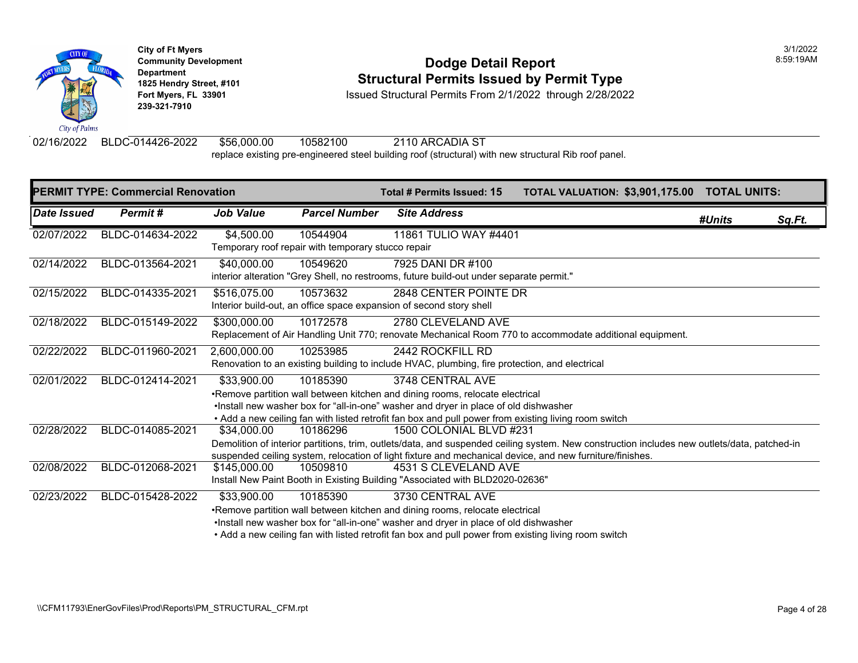

**City of Ft Myers** 3/1/2022 **Department 239-321-7910** 

#### **Community Development Community Development Community Development 1825 Hendry Street, #101**<br>1825 Hendry Street, #101 **Structural Permits Issued by Permit Type**<br>1928/2022 Fort Myers, FL 33901 **Structural Permits From 2/1/2022** through 2/28/2024

**Fort Myers, FL 33901** Issued Structural Permits From 2/1/2022 through 2/28/2022

02/16/2022 BLDC-014426-2022 \$56,000.00 10582100 2110 ARCADIA ST replace existing pre-engineered steel building roof (structural) with new structural Rib roof panel.

|             | <b>PERMIT TYPE: Commercial Renovation</b> |                  |                                                    | Total # Permits Issued: 15                                                                                                      | <b>TOTAL VALUATION: \$3,901,1</b> |  |
|-------------|-------------------------------------------|------------------|----------------------------------------------------|---------------------------------------------------------------------------------------------------------------------------------|-----------------------------------|--|
| Date Issued | Permit#                                   | <b>Job Value</b> | <b>Parcel Number</b>                               | <b>Site Address</b>                                                                                                             |                                   |  |
| 02/07/2022  | BLDC-014634-2022                          | \$4,500.00       | 10544904                                           | 11861 TULIO WAY #4401                                                                                                           |                                   |  |
|             |                                           |                  | Temporary roof repair with temporary stucco repair |                                                                                                                                 |                                   |  |
| 02/14/2022  | BLDC-013564-2021                          | \$40,000.00      | 10549620                                           | 7925 DANI DR #100                                                                                                               |                                   |  |
|             |                                           |                  |                                                    | interior alteration "Grey Shell, no restrooms, future build-out under separate permit."                                         |                                   |  |
| 02/15/2022  | BLDC-014335-2021                          | \$516,075.00     | 10573632                                           | 2848 CENTER POINTE DR                                                                                                           |                                   |  |
|             |                                           |                  |                                                    | Interior build-out, an office space expansion of second story shell                                                             |                                   |  |
| 02/18/2022  | BLDC-015149-2022                          | \$300,000.00     | 10172578                                           | 2780 CLEVELAND AVE                                                                                                              |                                   |  |
|             |                                           |                  |                                                    | Replacement of Air Handling Unit 770; renovate Mechanical Room 770 to accommodate additional equip                              |                                   |  |
| 02/22/2022  | BLDC-011960-2021                          | 2,600,000.00     | 10253985                                           | 2442 ROCKFILL RD                                                                                                                |                                   |  |
|             |                                           |                  |                                                    | Renovation to an existing building to include HVAC, plumbing, fire protection, and electrical                                   |                                   |  |
| 02/01/2022  | BLDC-012414-2021                          | \$33,900.00      | 10185390                                           | 3748 CENTRAL AVE                                                                                                                |                                   |  |
|             |                                           |                  |                                                    | •Remove partition wall between kitchen and dining rooms, relocate electrical                                                    |                                   |  |
|             |                                           |                  |                                                    | . Install new washer box for "all-in-one" washer and dryer in place of old dishwasher                                           |                                   |  |
| 02/28/2022  | BLDC-014085-2021                          | \$34,000.00      | 10186296                                           | • Add a new ceiling fan with listed retrofit fan box and pull power from existing living room switch<br>1500 COLONIAL BLVD #231 |                                   |  |
|             |                                           |                  |                                                    | Demolition of interior partitions, trim, outlets/data, and suspended ceiling system. New construction includ                    |                                   |  |
|             |                                           |                  |                                                    | suspended ceiling system, relocation of light fixture and mechanical device, and new furniture/finishes.                        |                                   |  |
| 02/08/2022  | BLDC-012068-2021                          | \$145,000.00     | 10509810                                           | 4531 S CLEVELAND AVE                                                                                                            |                                   |  |
|             |                                           |                  |                                                    | Install New Paint Booth in Existing Building "Associated with BLD2020-02636"                                                    |                                   |  |
| 02/23/2022  | BLDC-015428-2022                          | \$33,900.00      | 10185390                                           | 3730 CENTRAL AVE                                                                                                                |                                   |  |
|             |                                           |                  |                                                    | •Remove partition wall between kitchen and dining rooms, relocate electrical                                                    |                                   |  |
|             |                                           |                  |                                                    | . Install new washer box for "all-in-one" washer and dryer in place of old dishwasher                                           |                                   |  |
|             |                                           |                  |                                                    | . Add a new ceiling fan with listed retrofit fan box and pull power from existing living room switch                            |                                   |  |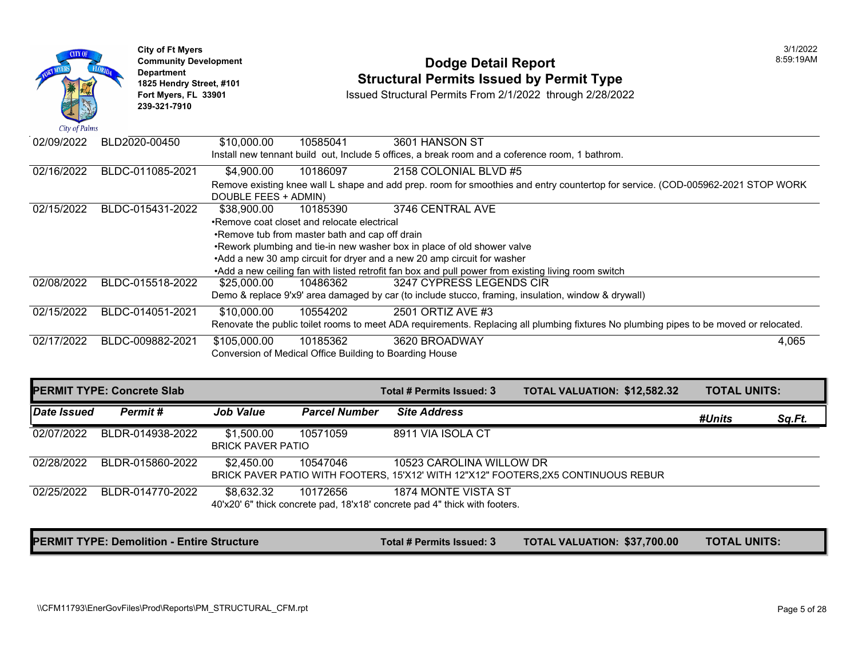| City of Palms | <b>City of Ft Myers</b><br><b>Community Development</b><br><b>Department</b><br>1825 Hendry Street, #101<br>Fort Myers, FL 33901<br>239-321-7910 |                                                |          | Dodge Detail Report<br><b>Structural Permits Issued by Permit Type</b><br>Issued Structural Permits From 2/1/2022 through 2/28/2022 |  |  |
|---------------|--------------------------------------------------------------------------------------------------------------------------------------------------|------------------------------------------------|----------|-------------------------------------------------------------------------------------------------------------------------------------|--|--|
| 02/09/2022    | BLD2020-00450                                                                                                                                    | \$10,000.00                                    | 10585041 | 3601 HANSON ST                                                                                                                      |  |  |
|               |                                                                                                                                                  |                                                |          | Install new tennant build out, Include 5 offices, a break room and a coference room, 1 bathrom.                                     |  |  |
| 02/16/2022    | BLDC-011085-2021                                                                                                                                 | \$4,900.00                                     | 10186097 | 2158 COLONIAL BLVD #5                                                                                                               |  |  |
|               |                                                                                                                                                  | DOUBLE FEES + ADMIN)                           |          | Remove existing knee wall L shape and add prep. room for smoothies and entry countertop for service. (                              |  |  |
| 02/15/2022    | BLDC-015431-2022                                                                                                                                 | \$38,900.00                                    | 10185390 | 3746 CENTRAL AVE                                                                                                                    |  |  |
|               |                                                                                                                                                  | •Remove coat closet and relocate electrical    |          |                                                                                                                                     |  |  |
|               |                                                                                                                                                  | .Remove tub from master bath and cap off drain |          |                                                                                                                                     |  |  |
|               |                                                                                                                                                  |                                                |          | .Rework plumbing and tie-in new washer box in place of old shower valve                                                             |  |  |
|               |                                                                                                                                                  |                                                |          | •Add a new 30 amp circuit for dryer and a new 20 amp circuit for washer                                                             |  |  |
|               |                                                                                                                                                  |                                                |          | •Add a new ceiling fan with listed retrofit fan box and pull power from existing living room switch                                 |  |  |
| 02/08/2022    | BLDC-015518-2022                                                                                                                                 | \$25,000.00                                    | 10486362 | 3247 CYPRESS LEGENDS CIR<br>Demo & replace 9'x9' area damaged by car (to include stucco, framing, insulation, window & drywall)     |  |  |
| 02/15/2022    | BLDC-014051-2021                                                                                                                                 | \$10,000.00                                    | 10554202 | 2501 ORTIZ AVE #3                                                                                                                   |  |  |
|               |                                                                                                                                                  |                                                |          | Renovate the public toilet rooms to meet ADA requirements. Replacing all plumbing fixtures No plumbing                              |  |  |
| 02/17/2022    | BLDC-009882-2021                                                                                                                                 | \$105,000.00                                   | 10185362 | 3620 BROADWAY                                                                                                                       |  |  |
|               |                                                                                                                                                  |                                                |          | Conversion of Medical Office Building to Boarding House                                                                             |  |  |
|               |                                                                                                                                                  |                                                |          |                                                                                                                                     |  |  |

| <b>PERMIT TYPE: Concrete Slab</b> |                  |                                        |                      | Total # Permits Issued: 3                                                                                      | <b>TOTAL VALUATION: \$12,582</b> |  |
|-----------------------------------|------------------|----------------------------------------|----------------------|----------------------------------------------------------------------------------------------------------------|----------------------------------|--|
| Date Issued                       | Permit#          | <b>Job Value</b>                       | <b>Parcel Number</b> | <b>Site Address</b>                                                                                            |                                  |  |
| 02/07/2022                        | BLDR-014938-2022 | \$1,500.00<br><b>BRICK PAVER PATIO</b> | 10571059             | 8911 VIA ISOLA CT                                                                                              |                                  |  |
| 02/28/2022                        | BLDR-015860-2022 | \$2,450.00                             | 10547046             | 10523 CAROLINA WILLOW DR<br>BRICK PAVER PATIO WITH FOOTERS, 15'X12' WITH 12"X12" FOOTERS, 2X5 CONTINUOUS REBUR |                                  |  |
| 02/25/2022                        | BLDR-014770-2022 | \$8,632.32                             | 10172656             | 1874 MONTE VISTA ST<br>40'x20' 6" thick concrete pad, 18'x18' concrete pad 4" thick with footers.              |                                  |  |

**PERMIT TYPE: Demolition - Entire Structure The Community of the Community Total # Permits Issued: 3 TOTAL VALUATION: \$37,700**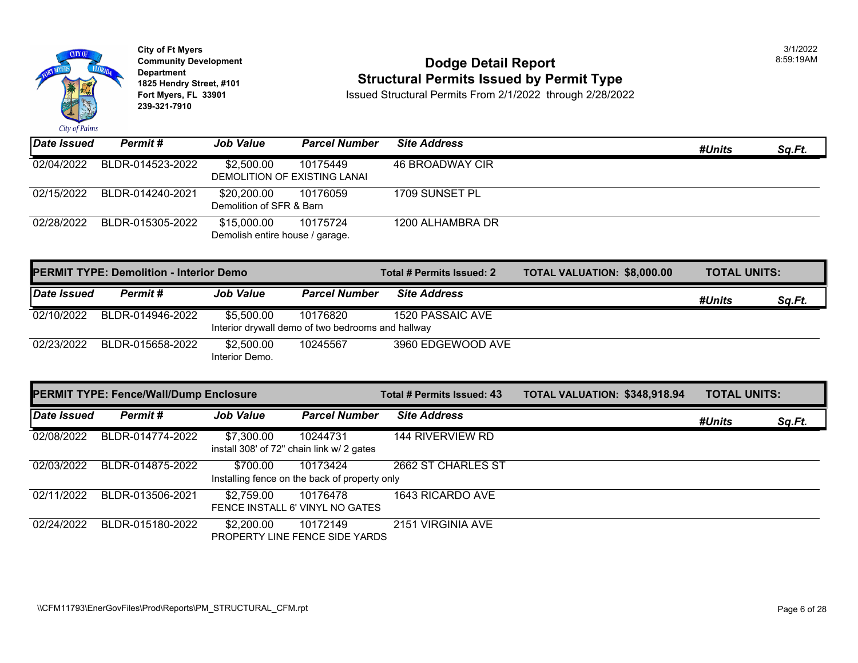

## **Community Development Community Development Community Development Community Dodge Detail Report 1825 Hendry Street, #101 1825 Hendry Street, #101 1825 Hendry Street, #101 Structural Permits Issued by Permit Type**<br>**1825 Fort Myers, FL 33901 1898 ISSued Structural Permits From 2/1/2022** through 2/28/202

| <b>Date Issued</b> | Permit#          | <b>Job Value</b>                               | <b>Parcel Number</b> | <b>Site Address</b> |
|--------------------|------------------|------------------------------------------------|----------------------|---------------------|
| 02/04/2022         | BLDR-014523-2022 | \$2.500.00<br>DEMOLITION OF EXISTING LANAI     | 10175449             | 46 BROADWAY CIR     |
| 02/15/2022         | BLDR-014240-2021 | \$20,200.00<br>Demolition of SFR & Barn        | 10176059             | 1709 SUNSET PL      |
| 02/28/2022         | BLDR-015305-2022 | \$15,000.00<br>Demolish entire house / garage. | 10175724             | 1200 ALHAMBRA DR    |

| <b>PERMIT TYPE: Demolition - Interior Demo</b> |                  |                              |                                                               | Total # Permits Issued: 2 | <b>TOTAL VALUATION: \$8,000.0</b> |
|------------------------------------------------|------------------|------------------------------|---------------------------------------------------------------|---------------------------|-----------------------------------|
| <b>Date Issued</b>                             | Permit#          | <b>Job Value</b>             | <b>Parcel Number</b>                                          | <b>Site Address</b>       |                                   |
| 02/10/2022                                     | BLDR-014946-2022 | \$5,500.00                   | 10176820<br>Interior drywall demo of two bedrooms and hallway | 1520 PASSAIC AVE          |                                   |
| 02/23/2022                                     | BLDR-015658-2022 | \$2,500.00<br>Interior Demo. | 10245567                                                      | 3960 EDGEWOOD AVE         |                                   |

|             | <b>PERMIT TYPE: Fence/Wall/Dump Enclosure</b> |                  |                                                           | Total # Permits Issued: 43 | <b>TOTAL VALUATION: \$348,91</b> |  |
|-------------|-----------------------------------------------|------------------|-----------------------------------------------------------|----------------------------|----------------------------------|--|
| Date Issued | Permit#                                       | <b>Job Value</b> | <b>Parcel Number</b>                                      | <b>Site Address</b>        |                                  |  |
| 02/08/2022  | BLDR-014774-2022                              | \$7,300.00       | 10244731<br>install 308' of 72" chain link w/ 2 gates     | <b>144 RIVERVIEW RD</b>    |                                  |  |
| 02/03/2022  | BLDR-014875-2022                              | \$700.00         | 10173424<br>Installing fence on the back of property only | 2662 ST CHARLES ST         |                                  |  |
| 02/11/2022  | BLDR-013506-2021                              | \$2,759.00       | 10176478<br>FENCE INSTALL 6' VINYL NO GATES               | 1643 RICARDO AVE           |                                  |  |
| 02/24/2022  | BLDR-015180-2022                              | \$2,200.00       | 10172149<br><b>PROPERTY LINE FENCE SIDE YARDS</b>         | 2151 VIRGINIA AVE          |                                  |  |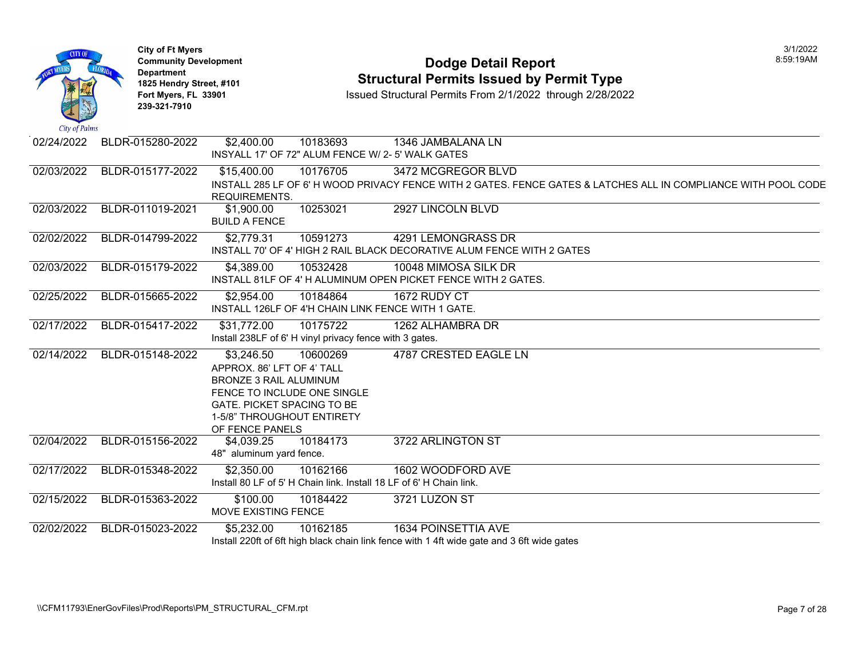| <b>CITY OF</b><br>City of Palms | <b>City of Ft Myers</b><br><b>Department</b><br>1825 Hendry Street, #101<br>Fort Myers, FL 33901<br>239-321-7910 | <b>Community Development</b><br><b>Dodge Detail Report</b><br><b>Structural Permits Issued by Permit Type</b><br>Issued Structural Permits From 2/1/2022 through 2/28/2022                                                          |
|---------------------------------|------------------------------------------------------------------------------------------------------------------|-------------------------------------------------------------------------------------------------------------------------------------------------------------------------------------------------------------------------------------|
| 02/24/2022                      | BLDR-015280-2022                                                                                                 | \$2,400.00<br>10183693<br>1346 JAMBALANA LN<br>INSYALL 17' OF 72" ALUM FENCE W/ 2-5' WALK GATES                                                                                                                                     |
| 02/03/2022                      | BLDR-015177-2022                                                                                                 | 10176705<br>\$15,400.00<br>3472 MCGREGOR BLVD<br>INSTALL 285 LF OF 6' H WOOD PRIVACY FENCE WITH 2 GATES. FENCE GATES & LATCHES ALL<br>REQUIREMENTS.                                                                                 |
| 02/03/2022                      | BLDR-011019-2021                                                                                                 | 10253021<br>2927 LINCOLN BLVD<br>\$1,900.00<br><b>BUILD A FENCE</b>                                                                                                                                                                 |
| 02/02/2022                      | BLDR-014799-2022                                                                                                 | \$2,779.31<br>10591273<br>4291 LEMONGRASS DR<br>INSTALL 70' OF 4' HIGH 2 RAIL BLACK DECORATIVE ALUM FENCE WITH 2 GATES                                                                                                              |
| 02/03/2022                      | BLDR-015179-2022                                                                                                 | \$4,389.00<br>10532428<br>10048 MIMOSA SILK DR<br>INSTALL 81LF OF 4' H ALUMINUM OPEN PICKET FENCE WITH 2 GATES.                                                                                                                     |
| 02/25/2022                      | BLDR-015665-2022                                                                                                 | \$2,954.00<br>10184864<br>1672 RUDY CT<br>INSTALL 126LF OF 4'H CHAIN LINK FENCE WITH 1 GATE.                                                                                                                                        |
| 02/17/2022                      | BLDR-015417-2022                                                                                                 | \$31,772.00<br>10175722<br>1262 ALHAMBRA DR<br>Install 238LF of 6' H vinyl privacy fence with 3 gates.                                                                                                                              |
| 02/14/2022                      | BLDR-015148-2022                                                                                                 | <b>4787 CRESTED EAGLE LN</b><br>\$3,246.50<br>10600269<br>APPROX. 86' LFT OF 4' TALL<br><b>BRONZE 3 RAIL ALUMINUM</b><br>FENCE TO INCLUDE ONE SINGLE<br>GATE. PICKET SPACING TO BE<br>1-5/8" THROUGHOUT ENTIRETY<br>OF FENCE PANELS |
| 02/04/2022                      | BLDR-015156-2022                                                                                                 | 3722 ARLINGTON ST<br>\$4,039.25<br>10184173<br>48" aluminum yard fence.                                                                                                                                                             |
| 02/17/2022                      | BLDR-015348-2022                                                                                                 | \$2,350.00<br>10162166<br>1602 WOODFORD AVE<br>Install 80 LF of 5' H Chain link. Install 18 LF of 6' H Chain link.                                                                                                                  |
| 02/15/2022                      | BLDR-015363-2022                                                                                                 | \$100.00<br>10184422<br>3721 LUZON ST<br>MOVE EXISTING FENCE                                                                                                                                                                        |
| 02/02/2022                      | BLDR-015023-2022                                                                                                 | \$5,232.00<br><b>1634 POINSETTIA AVE</b><br>10162185<br>Install 220ft of 6ft high black chain link fence with 1 4ft wide gate and 3 6ft wide gates                                                                                  |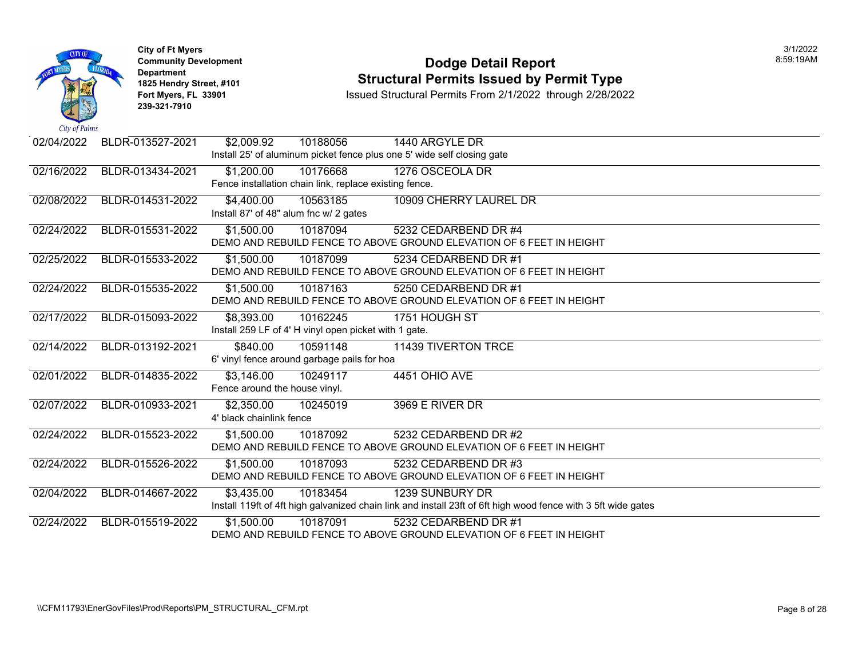

#### **Community Development Community Development Community Development 1825 Hendry Street, #101 1825 Hendry Street, #101 1825 Hendry Street, #101 Structural Permits Issued by Permit Type**<br>**1825 Fort Myers, FL 33901 1898 ISSued Structural Permits From 2/1/2022** through 2/28/202

| $\mathcal{L}$ as $\mathcal{L}$ $\mathcal{L}$ $\mathcal{L}$ $\mathcal{L}$ $\mathcal{L}$ $\mathcal{L}$ $\mathcal{L}$ $\mathcal{L}$ $\mathcal{L}$ $\mathcal{L}$ $\mathcal{L}$ $\mathcal{L}$ $\mathcal{L}$ $\mathcal{L}$ $\mathcal{L}$ $\mathcal{L}$ $\mathcal{L}$ $\mathcal{L}$ $\mathcal{L}$ $\mathcal{L}$ $\mathcal{L}$ $\mathcal{L}$ $\mathcal{L}$ $\$ |                  |                               |                                                        |                                                                                                               |
|--------------------------------------------------------------------------------------------------------------------------------------------------------------------------------------------------------------------------------------------------------------------------------------------------------------------------------------------------------|------------------|-------------------------------|--------------------------------------------------------|---------------------------------------------------------------------------------------------------------------|
| 02/04/2022                                                                                                                                                                                                                                                                                                                                             | BLDR-013527-2021 | \$2,009.92                    | 10188056                                               | 1440 ARGYLE DR                                                                                                |
|                                                                                                                                                                                                                                                                                                                                                        |                  |                               |                                                        | Install 25' of aluminum picket fence plus one 5' wide self closing gate                                       |
| 02/16/2022                                                                                                                                                                                                                                                                                                                                             | BLDR-013434-2021 | \$1,200.00                    | 10176668                                               | 1276 OSCEOLA DR                                                                                               |
|                                                                                                                                                                                                                                                                                                                                                        |                  |                               | Fence installation chain link, replace existing fence. |                                                                                                               |
| 02/08/2022                                                                                                                                                                                                                                                                                                                                             | BLDR-014531-2022 | \$4,400.00                    | 10563185                                               | 10909 CHERRY LAUREL DR                                                                                        |
|                                                                                                                                                                                                                                                                                                                                                        |                  |                               | Install 87' of 48" alum fnc w/ 2 gates                 |                                                                                                               |
| 02/24/2022                                                                                                                                                                                                                                                                                                                                             | BLDR-015531-2022 | \$1,500.00                    | 10187094                                               | 5232 CEDARBEND DR #4                                                                                          |
|                                                                                                                                                                                                                                                                                                                                                        |                  |                               |                                                        | DEMO AND REBUILD FENCE TO ABOVE GROUND ELEVATION OF 6 FEET IN HEIGHT                                          |
| 02/25/2022                                                                                                                                                                                                                                                                                                                                             | BLDR-015533-2022 | \$1,500.00                    | 10187099                                               | 5234 CEDARBEND DR #1                                                                                          |
|                                                                                                                                                                                                                                                                                                                                                        |                  |                               |                                                        | DEMO AND REBUILD FENCE TO ABOVE GROUND ELEVATION OF 6 FEET IN HEIGHT                                          |
| 02/24/2022                                                                                                                                                                                                                                                                                                                                             | BLDR-015535-2022 | \$1,500.00                    | 10187163                                               | 5250 CEDARBEND DR #1                                                                                          |
|                                                                                                                                                                                                                                                                                                                                                        |                  |                               |                                                        | DEMO AND REBUILD FENCE TO ABOVE GROUND ELEVATION OF 6 FEET IN HEIGHT                                          |
| 02/17/2022                                                                                                                                                                                                                                                                                                                                             | BLDR-015093-2022 | \$8,393.00                    | 10162245                                               | 1751 HOUGH ST                                                                                                 |
|                                                                                                                                                                                                                                                                                                                                                        |                  |                               | Install 259 LF of 4' H vinyl open picket with 1 gate.  |                                                                                                               |
| 02/14/2022                                                                                                                                                                                                                                                                                                                                             | BLDR-013192-2021 | \$840.00                      | 10591148                                               | <b>11439 TIVERTON TRCE</b>                                                                                    |
|                                                                                                                                                                                                                                                                                                                                                        |                  |                               | 6' vinyl fence around garbage pails for hoa            |                                                                                                               |
| 02/01/2022                                                                                                                                                                                                                                                                                                                                             | BLDR-014835-2022 | \$3,146.00                    | 10249117                                               | 4451 OHIO AVE                                                                                                 |
|                                                                                                                                                                                                                                                                                                                                                        |                  | Fence around the house vinyl. |                                                        |                                                                                                               |
| 02/07/2022                                                                                                                                                                                                                                                                                                                                             | BLDR-010933-2021 | \$2,350.00                    | 10245019                                               | 3969 E RIVER DR                                                                                               |
|                                                                                                                                                                                                                                                                                                                                                        |                  | 4' black chainlink fence      |                                                        |                                                                                                               |
| 02/24/2022                                                                                                                                                                                                                                                                                                                                             | BLDR-015523-2022 | \$1,500.00                    | 10187092                                               | 5232 CEDARBEND DR #2                                                                                          |
|                                                                                                                                                                                                                                                                                                                                                        |                  |                               |                                                        | DEMO AND REBUILD FENCE TO ABOVE GROUND ELEVATION OF 6 FEET IN HEIGHT                                          |
| 02/24/2022                                                                                                                                                                                                                                                                                                                                             | BLDR-015526-2022 | \$1,500.00                    | 10187093                                               | 5232 CEDARBEND DR #3                                                                                          |
|                                                                                                                                                                                                                                                                                                                                                        |                  |                               |                                                        | DEMO AND REBUILD FENCE TO ABOVE GROUND ELEVATION OF 6 FEET IN HEIGHT                                          |
| 02/04/2022                                                                                                                                                                                                                                                                                                                                             | BLDR-014667-2022 | \$3,435.00                    | 10183454                                               | <b>1239 SUNBURY DR</b>                                                                                        |
|                                                                                                                                                                                                                                                                                                                                                        |                  |                               |                                                        | Install 119ft of 4ft high galvanized chain link and install 23ft of 6ft high wood fence with 3 5ft wide gates |
| 02/24/2022                                                                                                                                                                                                                                                                                                                                             | BLDR-015519-2022 | \$1,500.00                    | 10187091                                               | 5232 CEDARBEND DR #1                                                                                          |
|                                                                                                                                                                                                                                                                                                                                                        |                  |                               |                                                        | DEMO AND REBUILD FENCE TO ABOVE GROUND ELEVATION OF 6 FEET IN HEIGHT                                          |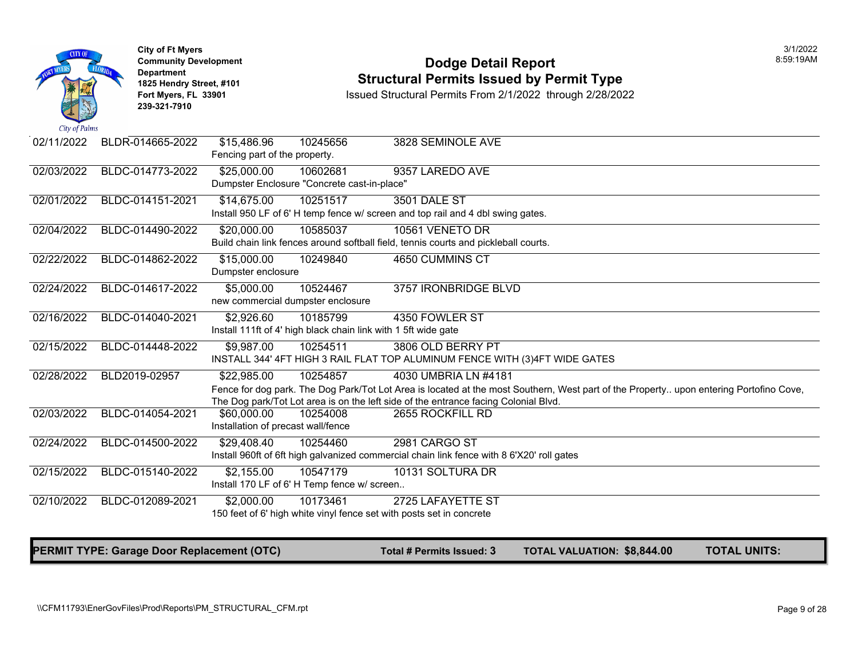| City of Palms | <b>City of Ft Myers</b><br><b>Community Development</b><br><b>Department</b><br>1825 Hendry Street, #101<br>Fort Myers, FL 33901<br>239-321-7910 | <b>Dodge Detail Report</b><br><b>Structural Permits Issued by Permit Type</b><br>Issued Structural Permits From 2/1/2022 through 2/28/2022                                                                                                        |
|---------------|--------------------------------------------------------------------------------------------------------------------------------------------------|---------------------------------------------------------------------------------------------------------------------------------------------------------------------------------------------------------------------------------------------------|
| 02/11/2022    | BLDR-014665-2022                                                                                                                                 | \$15,486.96<br>10245656<br>3828 SEMINOLE AVE<br>Fencing part of the property.                                                                                                                                                                     |
| 02/03/2022    | BLDC-014773-2022                                                                                                                                 | \$25,000.00<br>10602681<br>9357 LAREDO AVE<br>Dumpster Enclosure "Concrete cast-in-place"                                                                                                                                                         |
| 02/01/2022    | BLDC-014151-2021                                                                                                                                 | 10251517<br>\$14,675.00<br><b>3501 DALE ST</b><br>Install 950 LF of 6' H temp fence w/ screen and top rail and 4 dbl swing gates.                                                                                                                 |
| 02/04/2022    | BLDC-014490-2022                                                                                                                                 | 10561 VENETO DR<br>\$20,000.00<br>10585037<br>Build chain link fences around softball field, tennis courts and pickleball courts.                                                                                                                 |
| 02/22/2022    | BLDC-014862-2022                                                                                                                                 | 4650 CUMMINS CT<br>\$15,000.00<br>10249840<br>Dumpster enclosure                                                                                                                                                                                  |
| 02/24/2022    | BLDC-014617-2022                                                                                                                                 | 10524467<br>\$5,000.00<br>3757 IRONBRIDGE BLVD<br>new commercial dumpster enclosure                                                                                                                                                               |
| 02/16/2022    | BLDC-014040-2021                                                                                                                                 | \$2,926.60<br>10185799<br>4350 FOWLER ST<br>Install 111ft of 4' high black chain link with 1 5ft wide gate                                                                                                                                        |
| 02/15/2022    | BLDC-014448-2022                                                                                                                                 | \$9,987.00<br>10254511<br>3806 OLD BERRY PT<br>INSTALL 344' 4FT HIGH 3 RAIL FLAT TOP ALUMINUM FENCE WITH (3)4FT WIDE GATES                                                                                                                        |
| 02/28/2022    | BLD2019-02957                                                                                                                                    | \$22,985.00<br>10254857<br>4030 UMBRIA LN #4181<br>Fence for dog park. The Dog Park/Tot Lot Area is located at the most Southern, West part of the Propert<br>The Dog park/Tot Lot area is on the left side of the entrance facing Colonial Blvd. |
| 02/03/2022    | BLDC-014054-2021                                                                                                                                 | \$60,000.00<br>10254008<br>2655 ROCKFILL RD<br>Installation of precast wall/fence                                                                                                                                                                 |
| 02/24/2022    | BLDC-014500-2022                                                                                                                                 | 2981 CARGO ST<br>\$29,408.40<br>10254460<br>Install 960ft of 6ft high galvanized commercial chain link fence with 8 6'X20' roll gates                                                                                                             |
| 02/15/2022    | BLDC-015140-2022                                                                                                                                 | 10547179<br>10131 SOLTURA DR<br>\$2,155.00<br>Install 170 LF of 6' H Temp fence w/ screen                                                                                                                                                         |
| 02/10/2022    | BLDC-012089-2021                                                                                                                                 | \$2,000.00<br>10173461<br>2725 LAFAYETTE ST<br>150 feet of 6' high white vinyl fence set with posts set in concrete                                                                                                                               |

PERMIT TYPE: Garage Door Replacement (OTC) Total # Permits Issued: 3 TOTAL VALUATION: \$8,844.00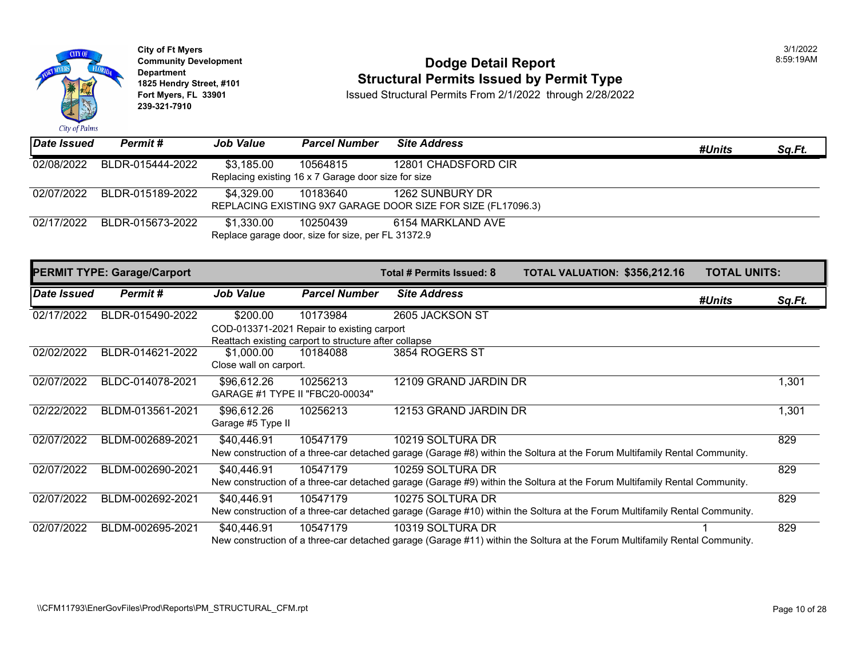

## **Community Development Dodge Detail Report** 8:59:19AM **1825 Hendry Street, #101**<br>1825 Hendry Street, #101 **Structural Permits Issued by Permit Type**<br>1892 Fort Myers, FL 33901 **Structural Permits From 2/1/2022** through 2/28/202

| <b>Date Issued</b> | Permit#                            | <b>Job Value</b>                     | <b>Parcel Number</b>                                                                                            | <b>Site Address</b>                                                             |                                                                                                                            | #Units              | Sq.Ft. |
|--------------------|------------------------------------|--------------------------------------|-----------------------------------------------------------------------------------------------------------------|---------------------------------------------------------------------------------|----------------------------------------------------------------------------------------------------------------------------|---------------------|--------|
| 02/08/2022         | BLDR-015444-2022                   | \$3,185.00                           | 10564815<br>Replacing existing 16 x 7 Garage door size for size                                                 | 12801 CHADSFORD CIR                                                             |                                                                                                                            |                     |        |
| 02/07/2022         | BLDR-015189-2022                   | \$4,329.00                           | 10183640                                                                                                        | 1262 SUNBURY DR<br>REPLACING EXISTING 9X7 GARAGE DOOR SIZE FOR SIZE (FL17096.3) |                                                                                                                            |                     |        |
| 02/17/2022         | BLDR-015673-2022                   | \$1,330.00                           | 10250439<br>Replace garage door, size for size, per FL 31372.9                                                  | 6154 MARKLAND AVE                                                               |                                                                                                                            |                     |        |
|                    | <b>PERMIT TYPE: Garage/Carport</b> |                                      |                                                                                                                 | Total # Permits Issued: 8                                                       | TOTAL VALUATION: \$356,212.16                                                                                              | <b>TOTAL UNITS:</b> |        |
| Date Issued        | Permit#                            | <b>Job Value</b>                     | <b>Parcel Number</b>                                                                                            | <b>Site Address</b>                                                             |                                                                                                                            | #Units              | Sq.Ft. |
| 02/17/2022         | BLDR-015490-2022                   | \$200.00                             | 10173984<br>COD-013371-2021 Repair to existing carport<br>Reattach existing carport to structure after collapse | 2605 JACKSON ST                                                                 |                                                                                                                            |                     |        |
| 02/02/2022         | BLDR-014621-2022                   | \$1,000.00<br>Close wall on carport. | 10184088                                                                                                        | 3854 ROGERS ST                                                                  |                                                                                                                            |                     |        |
| 02/07/2022         | BLDC-014078-2021                   | \$96,612.26                          | 10256213<br>GARAGE #1 TYPE II "FBC20-00034"                                                                     | 12109 GRAND JARDIN DR                                                           |                                                                                                                            |                     | 1,301  |
| 02/22/2022         | BLDM-013561-2021                   | \$96,612.26<br>Garage #5 Type II     | 10256213                                                                                                        | 12153 GRAND JARDIN DR                                                           |                                                                                                                            |                     | 1,301  |
| 02/07/2022         | BLDM-002689-2021                   | \$40,446.91                          | 10547179                                                                                                        | 10219 SOLTURA DR                                                                | New construction of a three-car detached garage (Garage #8) within the Soltura at the Forum Multifamily Rental Community.  |                     | 829    |
| 02/07/2022         | BLDM-002690-2021                   | \$40,446.91                          | 10547179                                                                                                        | 10259 SOLTURA DR                                                                | New construction of a three-car detached garage (Garage #9) within the Soltura at the Forum Multifamily Rental Community.  |                     | 829    |
| 02/07/2022         | BLDM-002692-2021                   | \$40,446.91                          | 10547179                                                                                                        | 10275 SOLTURA DR                                                                | New construction of a three-car detached garage (Garage #10) within the Soltura at the Forum Multifamily Rental Community. |                     | 829    |
| 02/07/2022         | BLDM-002695-2021                   | \$40,446.91                          | 10547179                                                                                                        | 10319 SOLTURA DR                                                                | New construction of a three-car detached garage (Garage #11) within the Soltura at the Forum Multifamily Rental Community. |                     | 829    |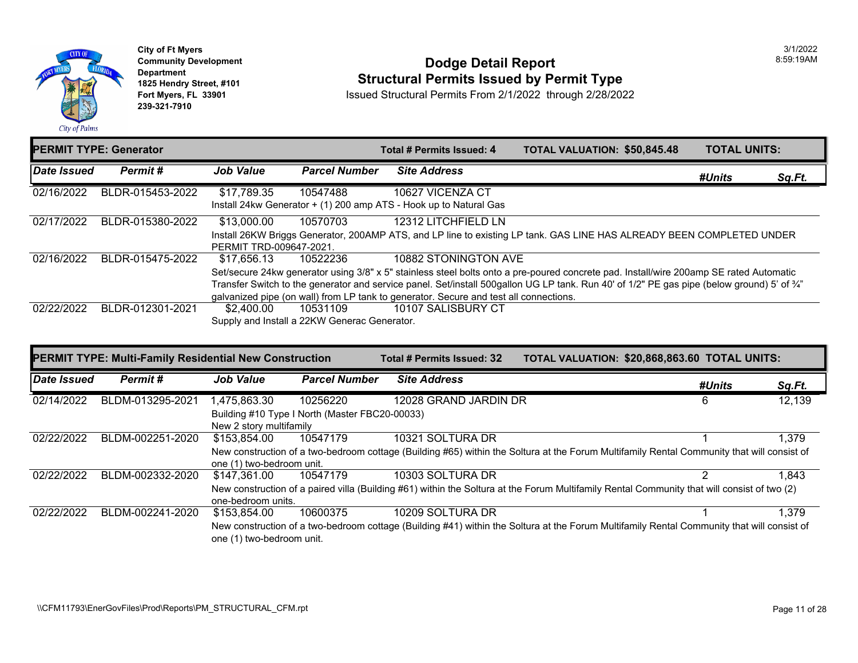

**City of Ft Myers Community Development Department 1825 Hendry Street, #101 Fort Myers, FL 33901 239-321-7910** 

#### **Dodge Detail Report Structural Permits Issued by Permit Type**

|             | <b>PERMIT TYPE: Generator</b> |                         |                                              | Total # Permits Issued: 4                                                                                  | <b>TOTAL VALUATION: \$50.845</b> |  |
|-------------|-------------------------------|-------------------------|----------------------------------------------|------------------------------------------------------------------------------------------------------------|----------------------------------|--|
| Date Issued | Permit#                       | <b>Job Value</b>        | <b>Parcel Number</b>                         | <b>Site Address</b>                                                                                        |                                  |  |
| 02/16/2022  | BLDR-015453-2022              | \$17,789.35             | 10547488                                     | 10627 VICENZA CT                                                                                           |                                  |  |
|             |                               |                         |                                              | Install 24kw Generator + (1) 200 amp ATS - Hook up to Natural Gas                                          |                                  |  |
| 02/17/2022  | BLDR-015380-2022              | \$13,000.00             | 10570703                                     | 12312 LITCHFIELD LN                                                                                        |                                  |  |
|             |                               |                         |                                              | Install 26KW Briggs Generator, 200AMP ATS, and LP line to existing LP tank. GAS LINE HAS ALREADY           |                                  |  |
|             |                               | PERMIT TRD-009647-2021. |                                              |                                                                                                            |                                  |  |
| 02/16/2022  | BLDR-015475-2022              | \$17.656.13             | 10522236                                     | 10882 STONINGTON AVE                                                                                       |                                  |  |
|             |                               |                         |                                              | Set/secure 24kw generator using 3/8" x 5" stainless steel bolts onto a pre-poured concrete pad. Install/wi |                                  |  |
|             |                               |                         |                                              | Transfer Switch to the generator and service panel. Set/install 500gallon UG LP tank. Run 40' of 1/2" PE   |                                  |  |
|             |                               |                         |                                              | galvanized pipe (on wall) from LP tank to generator. Secure and test all connections.                      |                                  |  |
| 02/22/2022  | BLDR-012301-2021              | \$2,400,00              | 10531109                                     | 10107 SALISBURY CT                                                                                         |                                  |  |
|             |                               |                         | Supply and Install a 22KW Generac Generator. |                                                                                                            |                                  |  |
|             |                               |                         |                                              |                                                                                                            |                                  |  |

|             | <b>PERMIT TYPE: Multi-Family Residential New Construction</b> |                           |                                                | Total # Permits Issued: 32                                                                                | <b>TOTAL VALUATION: \$20,868</b> |  |
|-------------|---------------------------------------------------------------|---------------------------|------------------------------------------------|-----------------------------------------------------------------------------------------------------------|----------------------------------|--|
| Date Issued | Permit#                                                       | <b>Job Value</b>          | <b>Parcel Number</b>                           | <b>Site Address</b>                                                                                       |                                  |  |
| 02/14/2022  | BLDM-013295-2021                                              | 1,475,863.30              | 10256220                                       | 12028 GRAND JARDIN DR                                                                                     |                                  |  |
|             |                                                               |                           | Building #10 Type I North (Master FBC20-00033) |                                                                                                           |                                  |  |
|             |                                                               | New 2 story multifamily   |                                                |                                                                                                           |                                  |  |
| 02/22/2022  | BLDM-002251-2020                                              | \$153,854.00              | 10547179                                       | 10321 SOLTURA DR                                                                                          |                                  |  |
|             |                                                               |                           |                                                | New construction of a two-bedroom cottage (Building #65) within the Soltura at the Forum Multifamily Re   |                                  |  |
|             |                                                               | one (1) two-bedroom unit. |                                                |                                                                                                           |                                  |  |
| 02/22/2022  | BLDM-002332-2020                                              | \$147,361.00              | 10547179                                       | 10303 SOLTURA DR                                                                                          |                                  |  |
|             |                                                               |                           |                                                | New construction of a paired villa (Building #61) within the Soltura at the Forum Multifamily Rental Comm |                                  |  |
|             |                                                               | one-bedroom units.        |                                                |                                                                                                           |                                  |  |
| 02/22/2022  | BLDM-002241-2020                                              | \$153,854,00              | 10600375                                       | 10209 SOLTURA DR                                                                                          |                                  |  |
|             |                                                               |                           |                                                | New construction of a two-bedroom cottage (Building #41) within the Soltura at the Forum Multifamily Re   |                                  |  |
|             |                                                               | one (1) two-bedroom unit. |                                                |                                                                                                           |                                  |  |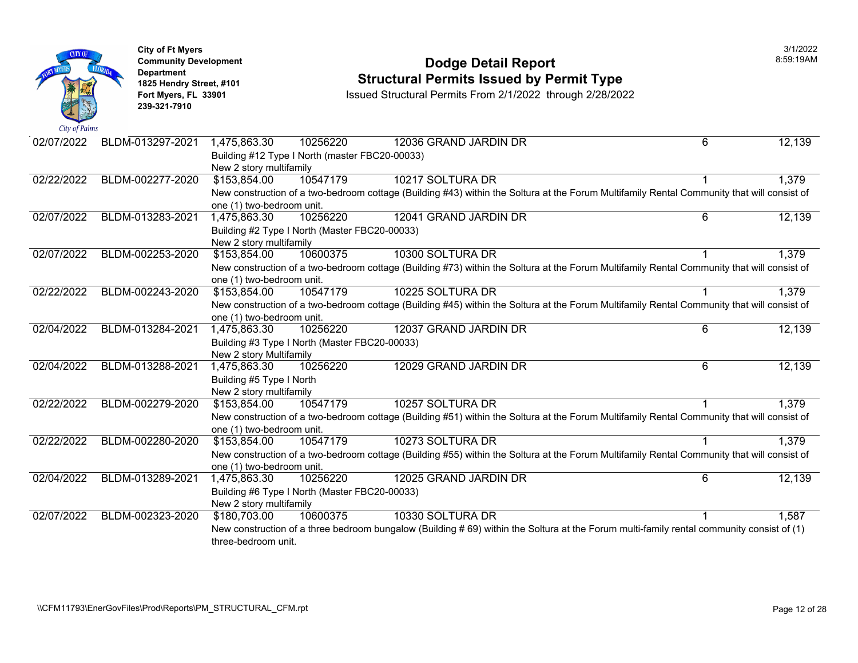| City of Palms | <b>City of Ft Myers</b><br><b>Community Development</b><br><b>Department</b><br>1825 Hendry Street, #101<br>Fort Myers, FL 33901<br>239-321-7910 | <b>Dodge Detail Report</b><br><b>Structural Permits Issued by Permit Type</b><br>Issued Structural Permits From 2/1/2022 through 2/28/2022                                           |  |
|---------------|--------------------------------------------------------------------------------------------------------------------------------------------------|--------------------------------------------------------------------------------------------------------------------------------------------------------------------------------------|--|
| 02/07/2022    | BLDM-013297-2021                                                                                                                                 | 10256220<br>1,475,863.30<br>12036 GRAND JARDIN DR<br>Building #12 Type I North (master FBC20-00033)<br>New 2 story multifamily                                                       |  |
| 02/22/2022    | BLDM-002277-2020                                                                                                                                 | 10547179<br>10217 SOLTURA DR<br>\$153,854.00<br>New construction of a two-bedroom cottage (Building #43) within the Soltura at the Forum Multifamily Re<br>one (1) two-bedroom unit. |  |
| 02/07/2022    | BLDM-013283-2021                                                                                                                                 | 12041 GRAND JARDIN DR<br>1,475,863.30<br>10256220<br>Building #2 Type I North (Master FBC20-00033)<br>New 2 story multifamily                                                        |  |
| 02/07/2022    | BLDM-002253-2020                                                                                                                                 | \$153,854.00<br>10300 SOLTURA DR<br>10600375<br>New construction of a two-bedroom cottage (Building #73) within the Soltura at the Forum Multifamily Re<br>one (1) two-bedroom unit. |  |
| 02/22/2022    | BLDM-002243-2020                                                                                                                                 | 10225 SOLTURA DR<br>\$153,854.00<br>10547179<br>New construction of a two-bedroom cottage (Building #45) within the Soltura at the Forum Multifamily Re<br>one (1) two-bedroom unit. |  |
| 02/04/2022    | BLDM-013284-2021                                                                                                                                 | 12037 GRAND JARDIN DR<br>1,475,863.30<br>10256220<br>Building #3 Type I North (Master FBC20-00033)<br>New 2 story Multifamily                                                        |  |
| 02/04/2022    | BLDM-013288-2021                                                                                                                                 | 1,475,863.30<br>10256220<br>12029 GRAND JARDIN DR<br>Building #5 Type I North<br>New 2 story multifamily                                                                             |  |
| 02/22/2022    | BLDM-002279-2020                                                                                                                                 | 10257 SOLTURA DR<br>\$153,854.00<br>10547179<br>New construction of a two-bedroom cottage (Building #51) within the Soltura at the Forum Multifamily Re<br>one (1) two-bedroom unit. |  |
| 02/22/2022    | BLDM-002280-2020                                                                                                                                 | 10547179<br>10273 SOLTURA DR<br>\$153,854.00<br>New construction of a two-bedroom cottage (Building #55) within the Soltura at the Forum Multifamily Re<br>one (1) two-bedroom unit. |  |
| 02/04/2022    | BLDM-013289-2021                                                                                                                                 | 10256220<br>12025 GRAND JARDIN DR<br>1,475,863.30<br>Building #6 Type I North (Master FBC20-00033)<br>New 2 story multifamily                                                        |  |
| 02/07/2022    | BLDM-002323-2020                                                                                                                                 | 10600375<br>10330 SOLTURA DR<br>\$180,703.00<br>New construction of a three bedroom bungalow (Building # 69) within the Soltura at the Forum multi-famil<br>three-bedroom unit.      |  |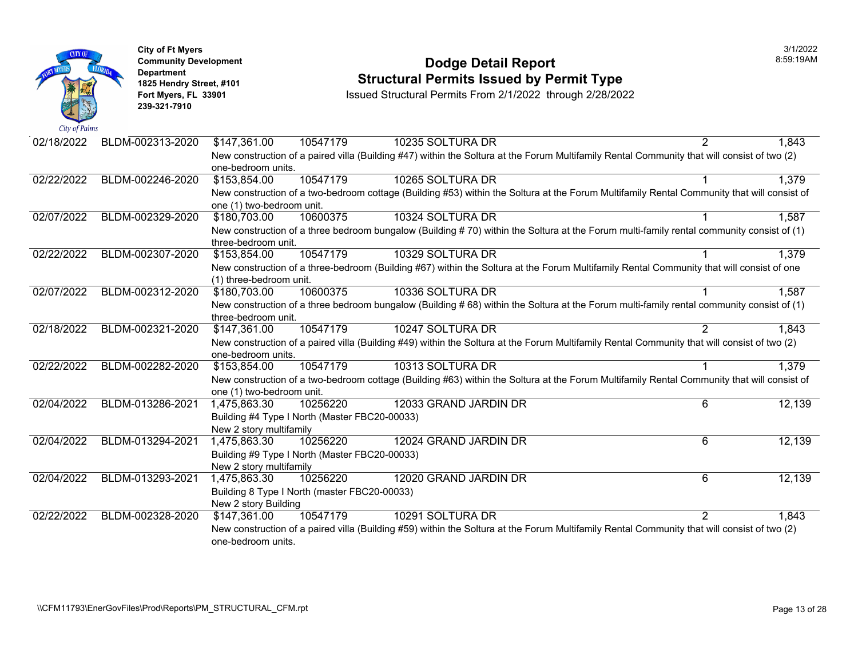| City of Palms | <b>City of Ft Myers</b><br><b>Community Development</b><br><b>Department</b><br>1825 Hendry Street, #101<br>Fort Myers, FL 33901<br>239-321-7910 |                           |                                               | <b>Dodge Detail Report</b><br><b>Structural Permits Issued by Permit Type</b><br>Issued Structural Permits From 2/1/2022 through 2/28/2022 |  |
|---------------|--------------------------------------------------------------------------------------------------------------------------------------------------|---------------------------|-----------------------------------------------|--------------------------------------------------------------------------------------------------------------------------------------------|--|
| 02/18/2022    | BLDM-002313-2020                                                                                                                                 | \$147,361.00              | 10547179                                      | 10235 SOLTURA DR                                                                                                                           |  |
|               |                                                                                                                                                  | one-bedroom units.        |                                               | New construction of a paired villa (Building #47) within the Soltura at the Forum Multifamily Rental Comm                                  |  |
| 02/22/2022    | BLDM-002246-2020                                                                                                                                 | \$153,854.00              | 10547179                                      | 10265 SOLTURA DR                                                                                                                           |  |
|               |                                                                                                                                                  | one (1) two-bedroom unit. |                                               | New construction of a two-bedroom cottage (Building #53) within the Soltura at the Forum Multifamily Re                                    |  |
| 02/07/2022    | BLDM-002329-2020                                                                                                                                 | \$180,703.00              | 10600375                                      | 10324 SOLTURA DR                                                                                                                           |  |
|               |                                                                                                                                                  | three-bedroom unit.       |                                               | New construction of a three bedroom bungalow (Building #70) within the Soltura at the Forum multi-famil                                    |  |
| 02/22/2022    | BLDM-002307-2020                                                                                                                                 | \$153,854.00              | 10547179                                      | 10329 SOLTURA DR                                                                                                                           |  |
|               |                                                                                                                                                  |                           |                                               | New construction of a three-bedroom (Building #67) within the Soltura at the Forum Multifamily Rental Co                                   |  |
|               |                                                                                                                                                  | (1) three-bedroom unit.   |                                               |                                                                                                                                            |  |
| 02/07/2022    | BLDM-002312-2020                                                                                                                                 | \$180,703.00              | 10600375                                      | 10336 SOLTURA DR                                                                                                                           |  |
|               |                                                                                                                                                  | three-bedroom unit.       |                                               | New construction of a three bedroom bungalow (Building #68) within the Soltura at the Forum multi-famil                                    |  |
| 02/18/2022    | BLDM-002321-2020                                                                                                                                 | \$147,361.00              | 10547179                                      | 10247 SOLTURA DR                                                                                                                           |  |
|               |                                                                                                                                                  | one-bedroom units.        |                                               | New construction of a paired villa (Building #49) within the Soltura at the Forum Multifamily Rental Comm                                  |  |
| 02/22/2022    | BLDM-002282-2020                                                                                                                                 | \$153,854.00              | 10547179                                      | 10313 SOLTURA DR                                                                                                                           |  |
|               |                                                                                                                                                  | one (1) two-bedroom unit. |                                               | New construction of a two-bedroom cottage (Building #63) within the Soltura at the Forum Multifamily Re                                    |  |
| 02/04/2022    | BLDM-013286-2021                                                                                                                                 | 1,475,863.30              | 10256220                                      | 12033 GRAND JARDIN DR                                                                                                                      |  |
|               |                                                                                                                                                  |                           | Building #4 Type I North (Master FBC20-00033) |                                                                                                                                            |  |
|               |                                                                                                                                                  | New 2 story multifamily   |                                               |                                                                                                                                            |  |
| 02/04/2022    | BLDM-013294-2021                                                                                                                                 | 1,475,863.30              | 10256220                                      | 12024 GRAND JARDIN DR                                                                                                                      |  |
|               |                                                                                                                                                  | New 2 story multifamily   | Building #9 Type I North (Master FBC20-00033) |                                                                                                                                            |  |
| 02/04/2022    | BLDM-013293-2021                                                                                                                                 | 1,475,863.30              | 10256220                                      | 12020 GRAND JARDIN DR                                                                                                                      |  |
|               |                                                                                                                                                  |                           | Building 8 Type I North (master FBC20-00033)  |                                                                                                                                            |  |
|               |                                                                                                                                                  | New 2 story Building      |                                               |                                                                                                                                            |  |
| 02/22/2022    | BLDM-002328-2020                                                                                                                                 | \$147,361.00              | 10547179                                      | 10291 SOLTURA DR                                                                                                                           |  |
|               |                                                                                                                                                  |                           |                                               | New construction of a paired villa (Building #59) within the Soltura at the Forum Multifamily Rental Comm                                  |  |
|               |                                                                                                                                                  | one-bedroom units.        |                                               |                                                                                                                                            |  |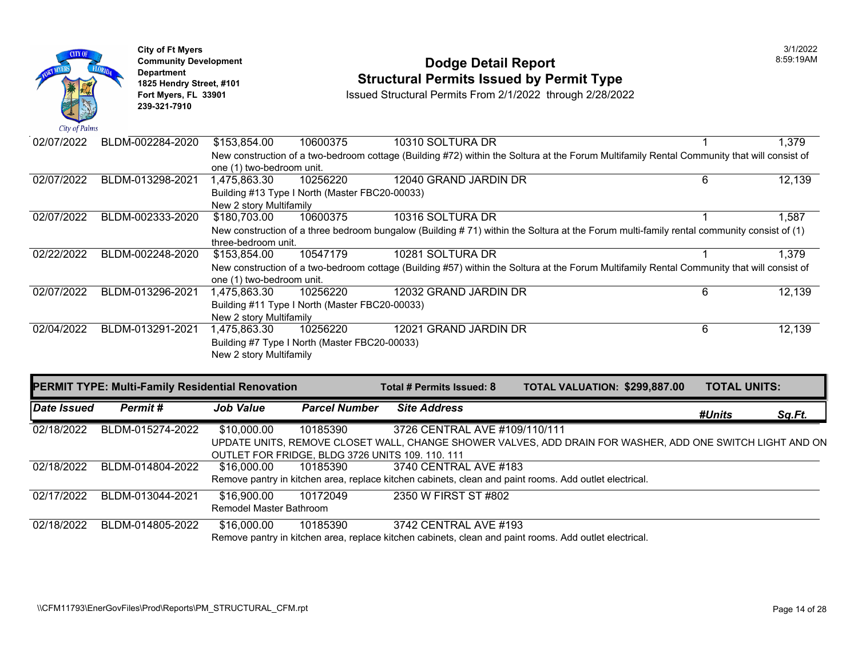

#### **Community Development** 8:59:19AM **Structural Permits Issued by Permit Type**

**Fort Myers, FL 33901** Issued Structural Permits From 2/1/2022 through 2/28/2022

| 02/07/2022  | BLDM-002284-2020                                        | \$153,854.00              | 10600375                                         | 10310 SOLTURA DR              |                                                                                                                                            |                     | 1,379  |
|-------------|---------------------------------------------------------|---------------------------|--------------------------------------------------|-------------------------------|--------------------------------------------------------------------------------------------------------------------------------------------|---------------------|--------|
|             |                                                         |                           |                                                  |                               | New construction of a two-bedroom cottage (Building #72) within the Soltura at the Forum Multifamily Rental Community that will consist of |                     |        |
|             |                                                         | one (1) two-bedroom unit. |                                                  |                               |                                                                                                                                            |                     |        |
| 02/07/2022  | BLDM-013298-2021                                        | 1,475,863.30              | 10256220                                         | 12040 GRAND JARDIN DR         |                                                                                                                                            | 6                   | 12,139 |
|             |                                                         |                           | Building #13 Type I North (Master FBC20-00033)   |                               |                                                                                                                                            |                     |        |
|             |                                                         | New 2 story Multifamily   |                                                  |                               |                                                                                                                                            |                     |        |
| 02/07/2022  | BLDM-002333-2020                                        | \$180,703.00              | 10600375                                         | 10316 SOLTURA DR              |                                                                                                                                            |                     | 1,587  |
|             |                                                         |                           |                                                  |                               | New construction of a three bedroom bungalow (Building #71) within the Soltura at the Forum multi-family rental community consist of (1)   |                     |        |
|             |                                                         | three-bedroom unit.       |                                                  |                               |                                                                                                                                            |                     |        |
| 02/22/2022  | BLDM-002248-2020                                        | \$153,854.00              | 10547179                                         | 10281 SOLTURA DR              |                                                                                                                                            |                     | 1,379  |
|             |                                                         |                           |                                                  |                               | New construction of a two-bedroom cottage (Building #57) within the Soltura at the Forum Multifamily Rental Community that will consist of |                     |        |
|             |                                                         | one (1) two-bedroom unit. |                                                  |                               |                                                                                                                                            |                     |        |
| 02/07/2022  | BLDM-013296-2021                                        | 1,475,863.30              | 10256220                                         | 12032 GRAND JARDIN DR         |                                                                                                                                            | 6                   | 12,139 |
|             |                                                         |                           | Building #11 Type I North (Master FBC20-00033)   |                               |                                                                                                                                            |                     |        |
|             |                                                         | New 2 story Multifamily   |                                                  |                               |                                                                                                                                            |                     |        |
| 02/04/2022  | BLDM-013291-2021                                        | 1,475,863.30              | 10256220                                         | 12021 GRAND JARDIN DR         |                                                                                                                                            | 6                   | 12,139 |
|             |                                                         |                           | Building #7 Type I North (Master FBC20-00033)    |                               |                                                                                                                                            |                     |        |
|             |                                                         | New 2 story Multifamily   |                                                  |                               |                                                                                                                                            |                     |        |
|             |                                                         |                           |                                                  |                               |                                                                                                                                            |                     |        |
|             | <b>PERMIT TYPE: Multi-Family Residential Renovation</b> |                           |                                                  | Total # Permits Issued: 8     | TOTAL VALUATION: \$299,887.00                                                                                                              | <b>TOTAL UNITS:</b> |        |
|             |                                                         |                           |                                                  |                               |                                                                                                                                            |                     |        |
| Date Issued | Permit#                                                 | <b>Job Value</b>          | <b>Parcel Number</b>                             | <b>Site Address</b>           |                                                                                                                                            | #Units              | Sq.Ft. |
| 02/18/2022  | BLDM-015274-2022                                        | \$10,000.00               | 10185390                                         | 3726 CENTRAL AVE #109/110/111 |                                                                                                                                            |                     |        |
|             |                                                         |                           |                                                  |                               | UPDATE UNITS, REMOVE CLOSET WALL, CHANGE SHOWER VALVES, ADD DRAIN FOR WASHER, ADD ONE SWITCH LIGHT AND ON                                  |                     |        |
|             |                                                         |                           | OUTLET FOR FRIDGE, BLDG 3726 UNITS 109. 110. 111 |                               |                                                                                                                                            |                     |        |
| 02/18/2022  | BLDM-014804-2022                                        | \$16,000.00               | 10185390                                         | 3740 CENTRAL AVE #183         |                                                                                                                                            |                     |        |
|             |                                                         |                           |                                                  |                               | Remove pantry in kitchen area, replace kitchen cabinets, clean and paint rooms. Add outlet electrical.                                     |                     |        |

02/18/2022 BLDM-014805-2022 \$16,000.00 Remove pantry in kitchen area, replace kitchen cabinets, clean and paint rooms. Add outlet electrical. 10185390 3742 CENTRAL AVE #193

10172049 2350 W FIRST ST #802

Remodel Master Bathroom

02/17/2022 BLDM-013044-2021 \$16,900.00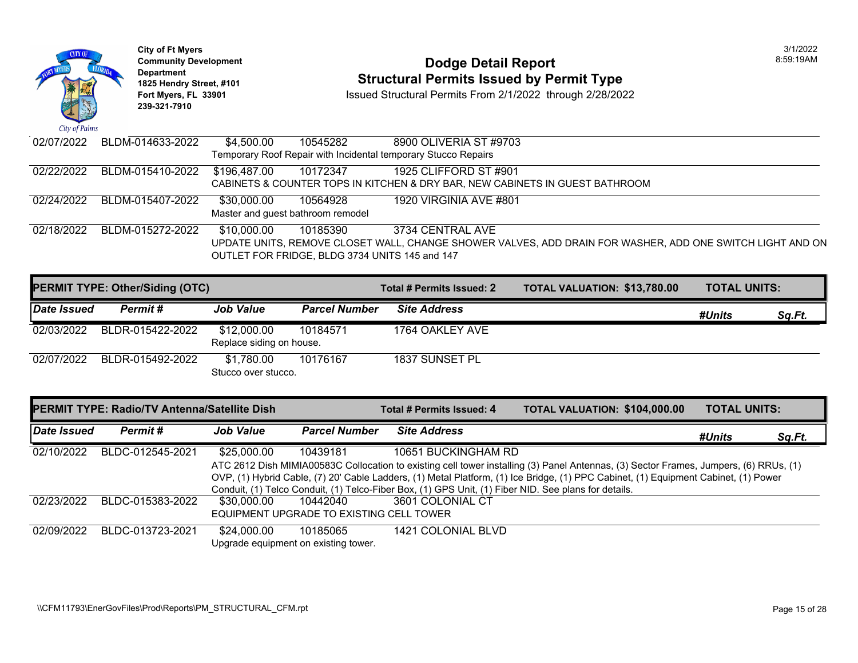| City of Palms | <b>City of Ft Myers</b><br><b>Community Development</b><br>Department<br>1825 Hendry Street, #101<br>Fort Myers, FL 33901<br>239-321-7910 |              |                                   | <b>Dodge Detail Report</b><br><b>Structural Permits Issued by Permit Type</b><br>Issued Structural Permits From 2/1/2022 through 2/28/2022 |  |
|---------------|-------------------------------------------------------------------------------------------------------------------------------------------|--------------|-----------------------------------|--------------------------------------------------------------------------------------------------------------------------------------------|--|
| 02/07/2022    | BLDM-014633-2022                                                                                                                          | \$4,500.00   | 10545282                          | 8900 OLIVERIA ST #9703                                                                                                                     |  |
|               |                                                                                                                                           |              |                                   | Temporary Roof Repair with Incidental temporary Stucco Repairs                                                                             |  |
| 02/22/2022    | BLDM-015410-2022                                                                                                                          | \$196,487.00 | 10172347                          | 1925 CLIFFORD ST #901                                                                                                                      |  |
|               |                                                                                                                                           |              |                                   | CABINETS & COUNTER TOPS IN KITCHEN & DRY BAR, NEW CABINETS IN GUEST BATHROOM                                                               |  |
| 02/24/2022    | BLDM-015407-2022                                                                                                                          | \$30,000.00  | 10564928                          | 1920 VIRGINIA AVE #801                                                                                                                     |  |
|               |                                                                                                                                           |              | Master and quest bathroom remodel |                                                                                                                                            |  |
| 02/18/2022    | BLDM-015272-2022                                                                                                                          | \$10,000.00  | 10185390                          | 3734 CENTRAL AVE                                                                                                                           |  |
|               |                                                                                                                                           |              |                                   | UPDATE UNITS, REMOVE CLOSET WALL, CHANGE SHOWER VALVES, ADD DRAIN FOR WASHER                                                               |  |
|               |                                                                                                                                           |              |                                   | OUTLET FOR FRIDGE, BLDG 3734 UNITS 145 and 147                                                                                             |  |
|               |                                                                                                                                           |              |                                   |                                                                                                                                            |  |

|             | <b>PERMIT TYPE: Other/Siding (OTC)</b> |                                         |                      | Total # Permits Issued: 2 | <b>TOTAL VALUATION: \$13,780</b> |
|-------------|----------------------------------------|-----------------------------------------|----------------------|---------------------------|----------------------------------|
| Date Issued | Permit#                                | <b>Job Value</b>                        | <b>Parcel Number</b> | <b>Site Address</b>       |                                  |
| 02/03/2022  | BLDR-015422-2022                       | \$12,000.00<br>Replace siding on house. | 10184571             | 1764 OAKLEY AVE           |                                  |
| 02/07/2022  | BLDR-015492-2022                       | \$1.780.00<br>Stucco over stucco.       | 10176167             | 1837 SUNSET PL            |                                  |

|             | <b>PERMIT TYPE: Radio/TV Antenna/Satellite Dish</b> |                                          |                      | Total # Permits Issued: 4                                                                                 | <b>TOTAL VALUATION: \$104,00</b> |  |
|-------------|-----------------------------------------------------|------------------------------------------|----------------------|-----------------------------------------------------------------------------------------------------------|----------------------------------|--|
| Date Issued | Permit #                                            | <b>Job Value</b>                         | <b>Parcel Number</b> | <b>Site Address</b>                                                                                       |                                  |  |
| 02/10/2022  | BLDC-012545-2021                                    | \$25,000.00                              | 10439181             | 10651 BUCKINGHAM RD                                                                                       |                                  |  |
|             |                                                     |                                          |                      | ATC 2612 Dish MIMIA00583C Collocation to existing cell tower installing (3) Panel Antennas, (3) Sector I  |                                  |  |
|             |                                                     |                                          |                      | OVP, (1) Hybrid Cable, (7) 20' Cable Ladders, (1) Metal Platform, (1) Ice Bridge, (1) PPC Cabinet, (1) Eq |                                  |  |
|             |                                                     |                                          |                      | Conduit, (1) Telco Conduit, (1) Telco-Fiber Box, (1) GPS Unit, (1) Fiber NID. See plans for details.      |                                  |  |
| 02/23/2022  | BLDC-015383-2022                                    | \$30.000.00                              | 10442040             | 3601 COLONIAL CT                                                                                          |                                  |  |
|             |                                                     | EQUIPMENT UPGRADE TO EXISTING CELL TOWER |                      |                                                                                                           |                                  |  |
| 02/09/2022  | BLDC-013723-2021                                    | \$24,000.00                              | 10185065             | 1421 COLONIAL BLVD                                                                                        |                                  |  |
|             |                                                     | Upgrade equipment on existing tower.     |                      |                                                                                                           |                                  |  |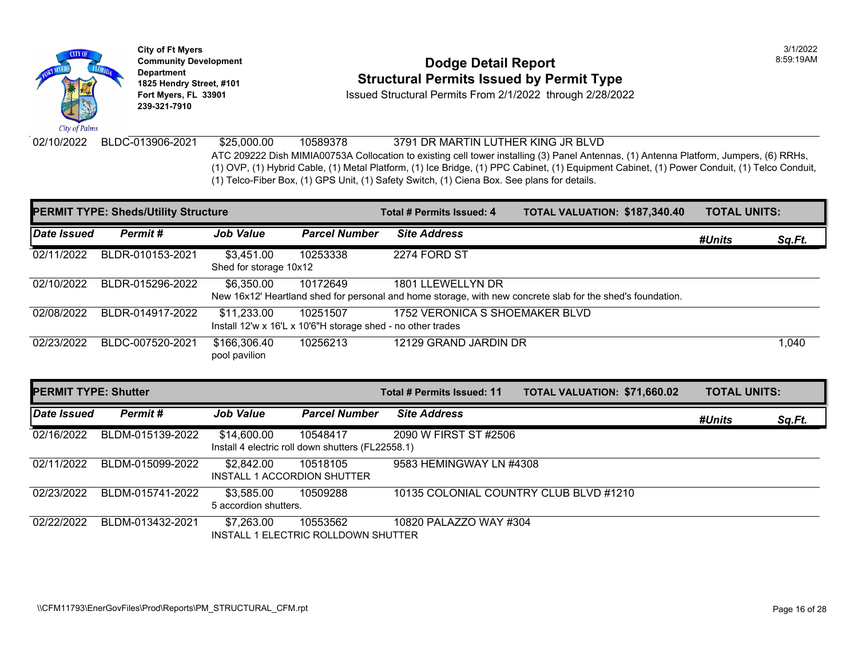

**City of Ft Myers** 3/1/2022 **Department 239-321-7910** 

#### **Community Development Community Development Community Development 1825 Hendry Street, #101 Structural Permits Issued by Permit Type**

**Fort Myers, FL 33901** Issued Structural Permits From 2/1/2022 through 2/28/2022

02/10/2022 BLDC-013906-2021 \$25,000.00 10589378 3791 DR MARTIN LUTHER KING JR BLVD ATC 209222 Dish MIMIA00753A Collocation to existing cell tower installing (3) Panel Antennas, (1) Ante (1) OVP, (1) Hybrid Cable, (1) Metal Platform, (1) Ice Bridge, (1) PPC Cabinet, (1) Equipment Cabinet, (1 (1) Telco-Fiber Box, (1) GPS Unit, (1) Safety Switch, (1) Ciena Box. See plans for details.

|             | <b>PERMIT TYPE: Sheds/Utility Structure</b> |                                                                            |                      | Total # Permits Issued: 4                                                                                                  | <b>TOTAL VALUATION: \$187,34</b> |  |
|-------------|---------------------------------------------|----------------------------------------------------------------------------|----------------------|----------------------------------------------------------------------------------------------------------------------------|----------------------------------|--|
| Date Issued | Permit#                                     | <b>Job Value</b>                                                           | <b>Parcel Number</b> | <b>Site Address</b>                                                                                                        |                                  |  |
| 02/11/2022  | BLDR-010153-2021                            | \$3,451.00<br>Shed for storage 10x12                                       | 10253338             | 2274 FORD ST                                                                                                               |                                  |  |
| 02/10/2022  | BLDR-015296-2022                            | \$6,350.00                                                                 | 10172649             | 1801 LLEWELLYN DR<br>New 16x12' Heartland shed for personal and home storage, with new concrete slab for the shed's founda |                                  |  |
| 02/08/2022  | BLDR-014917-2022                            | \$11,233.00<br>Install 12'w x 16'L x 10'6"H storage shed - no other trades | 10251507             | 1752 VERONICA S SHOEMAKER BLVD                                                                                             |                                  |  |
| 02/23/2022  | BLDC-007520-2021                            | \$166,306.40<br>pool pavilion                                              | 10256213             | 12129 GRAND JARDIN DR                                                                                                      |                                  |  |

| <b>PERMIT TYPE: Shutter</b> |                  |                                           |                                                               | Total # Permits Issued: 11             | <b>TOTAL VALUATION: \$71,660</b> |  |
|-----------------------------|------------------|-------------------------------------------|---------------------------------------------------------------|----------------------------------------|----------------------------------|--|
| Date Issued                 | Permit#          | <b>Job Value</b>                          | <b>Parcel Number</b>                                          | <b>Site Address</b>                    |                                  |  |
| 02/16/2022                  | BLDM-015139-2022 | \$14,600.00                               | 10548417<br>Install 4 electric roll down shutters (FL22558.1) | 2090 W FIRST ST #2506                  |                                  |  |
| 02/11/2022                  | BLDM-015099-2022 | \$2,842.00<br>INSTALL 1 ACCORDION SHUTTER | 10518105                                                      | 9583 HEMINGWAY LN #4308                |                                  |  |
| 02/23/2022                  | BLDM-015741-2022 | \$3,585.00<br>5 accordion shutters.       | 10509288                                                      | 10135 COLONIAL COUNTRY CLUB BLVD #1210 |                                  |  |
| 02/22/2022                  | BLDM-013432-2021 | \$7,263.00                                | 10553562<br>INSTALL 1 ELECTRIC ROLLDOWN SHUTTER               | 10820 PALAZZO WAY #304                 |                                  |  |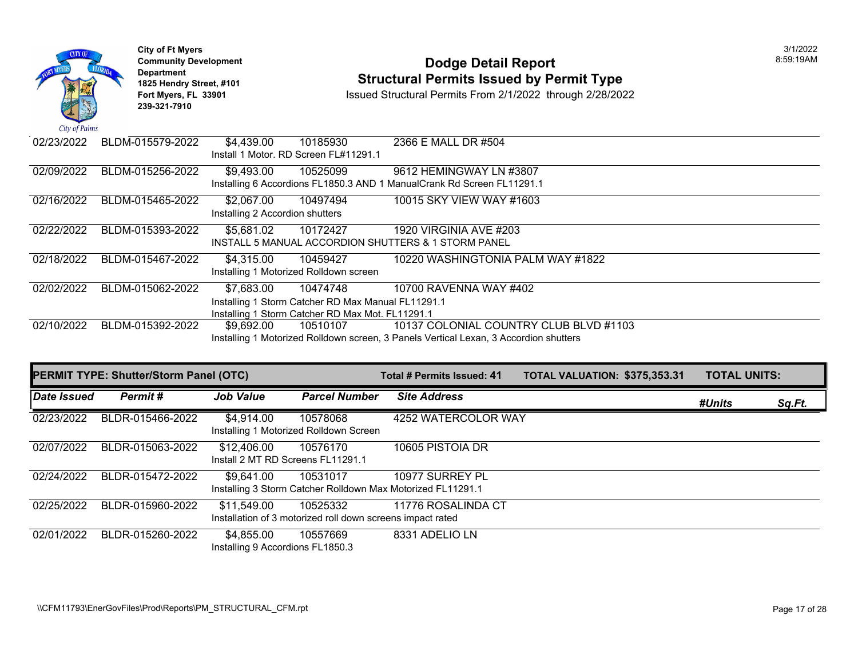

## **Community Development Community Development Community Development Community Dodge Detail Report 1825 Hendry Street, #101 1825 Hendry Street, #101 1825 Hendry Street, #101 Structural Permits Issued by Permit Type**<br>**1825 Fort Myers, FL 33901 1898 ISSued Structural Permits From 2/1/2022** through 2/28/202

| 02/23/2022 | BLDM-015579-2022 | \$4,439.00                      | 10185930                                           | 2366 E MALL DR #504                                                                   |
|------------|------------------|---------------------------------|----------------------------------------------------|---------------------------------------------------------------------------------------|
|            |                  |                                 | Install 1 Motor. RD Screen FL#11291.1              |                                                                                       |
| 02/09/2022 | BLDM-015256-2022 | \$9.493.00                      | 10525099                                           | 9612 HEMINGWAY LN #3807                                                               |
|            |                  |                                 |                                                    | Installing 6 Accordions FL1850.3 AND 1 ManualCrank Rd Screen FL11291.1                |
| 02/16/2022 | BLDM-015465-2022 | \$2.067.00                      | 10497494                                           | 10015 SKY VIEW WAY #1603                                                              |
|            |                  | Installing 2 Accordion shutters |                                                    |                                                                                       |
| 02/22/2022 | BLDM-015393-2022 | \$5.681.02                      | 10172427                                           | 1920 VIRGINIA AVE #203                                                                |
|            |                  |                                 |                                                    | <b>INSTALL 5 MANUAL ACCORDION SHUTTERS &amp; 1 STORM PANEL</b>                        |
| 02/18/2022 | BLDM-015467-2022 | \$4.315.00                      | 10459427                                           | 10220 WASHINGTONIA PALM WAY #1822                                                     |
|            |                  |                                 | Installing 1 Motorized Rolldown screen             |                                                                                       |
| 02/02/2022 | BLDM-015062-2022 | \$7.683.00                      | 10474748                                           | 10700 RAVENNA WAY #402                                                                |
|            |                  |                                 | Installing 1 Storm Catcher RD Max Manual FL11291.1 |                                                                                       |
|            |                  |                                 | Installing 1 Storm Catcher RD Max Mot. FL11291.1   |                                                                                       |
| 02/10/2022 | BLDM-015392-2022 | \$9.692.00                      | 10510107                                           | 10137 COLONIAL COUNTRY CLUB BLVD #1103                                                |
|            |                  |                                 |                                                    | Installing 1 Motorized Rolldown screen, 3 Panels Vertical Lexan, 3 Accordion shutters |

| <b>PERMIT TYPE: Shutter/Storm Panel (OTC)</b> |                  |                                                  | Total # Permits Issued: 41                                             | <b>TOTAL VALUATION: \$375,35</b>                                               |  |
|-----------------------------------------------|------------------|--------------------------------------------------|------------------------------------------------------------------------|--------------------------------------------------------------------------------|--|
| Date Issued                                   | Permit#          | <b>Job Value</b>                                 | <b>Parcel Number</b>                                                   | <b>Site Address</b>                                                            |  |
| 02/23/2022                                    | BLDR-015466-2022 | \$4,914.00                                       | 10578068<br>Installing 1 Motorized Rolldown Screen                     | 4252 WATERCOLOR WAY                                                            |  |
| 02/07/2022                                    | BLDR-015063-2022 | \$12,406.00<br>Install 2 MT RD Screens FL11291.1 | 10576170                                                               | 10605 PISTOIA DR                                                               |  |
| 02/24/2022                                    | BLDR-015472-2022 | \$9,641.00                                       | 10531017                                                               | 10977 SURREY PL<br>Installing 3 Storm Catcher Rolldown Max Motorized FL11291.1 |  |
| 02/25/2022                                    | BLDR-015960-2022 | \$11,549.00                                      | 10525332<br>Installation of 3 motorized roll down screens impact rated | 11776 ROSALINDA CT                                                             |  |
| 02/01/2022                                    | BLDR-015260-2022 | \$4,855.00<br>Installing 9 Accordions FL1850.3   | 10557669                                                               | 8331 ADELIO LN                                                                 |  |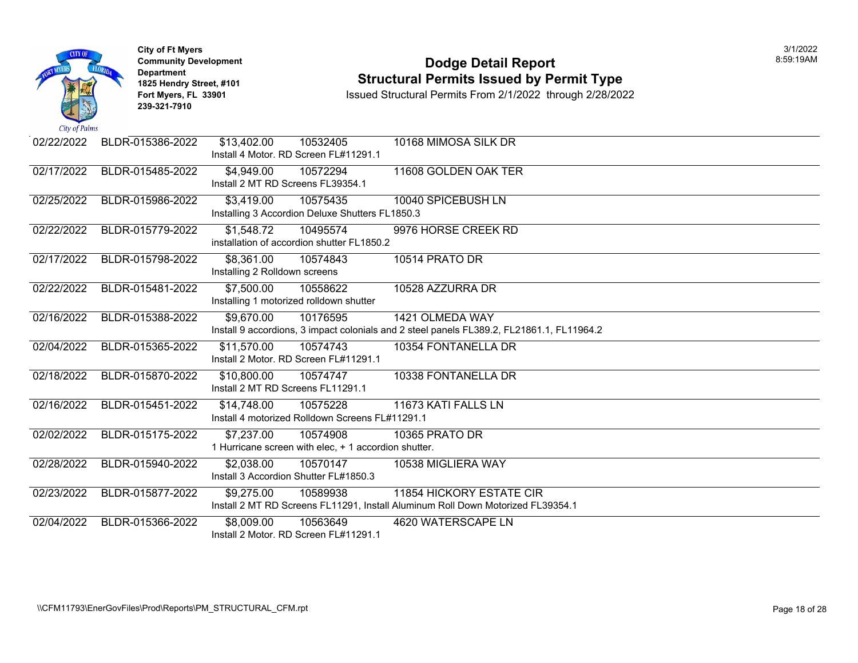

Install 2 Motor. RD Screen FL#11291.1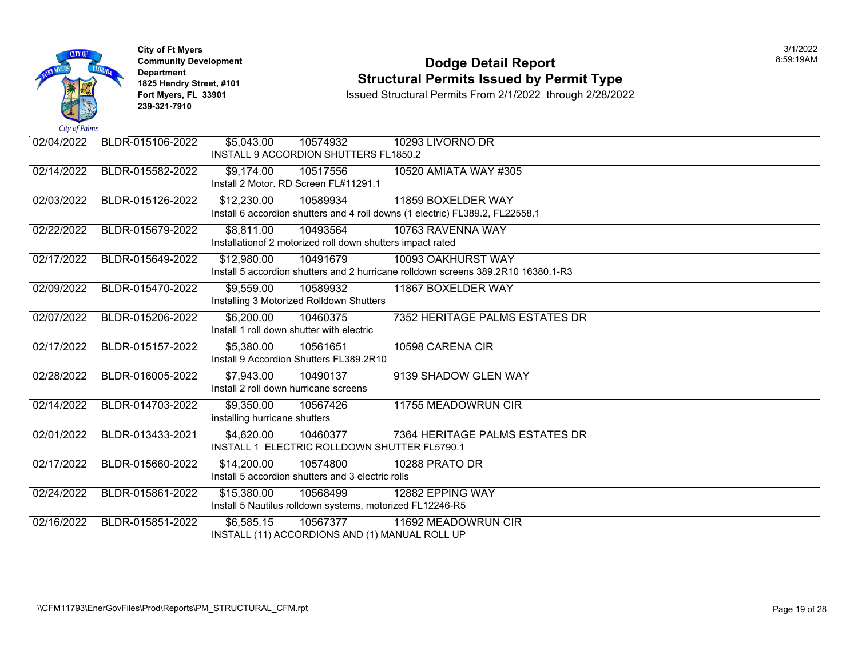| <b>CITY OF</b><br>City of Palms | <b>City of Ft Myers</b><br><b>Department</b><br>239-321-7910 | <b>Community Development</b><br>1825 Hendry Street, #101<br>Fort Myers, FL 33901 |                                                                        | <b>Dodge Detail Report</b><br><b>Structural Permits Issued by Permit Type</b><br>Issued Structural Permits From 2/1/2022 through 2/28/2022 |
|---------------------------------|--------------------------------------------------------------|----------------------------------------------------------------------------------|------------------------------------------------------------------------|--------------------------------------------------------------------------------------------------------------------------------------------|
| 02/04/2022                      | BLDR-015106-2022                                             | \$5,043.00                                                                       | 10574932<br>INSTALL 9 ACCORDION SHUTTERS FL1850.2                      | 10293 LIVORNO DR                                                                                                                           |
| 02/14/2022                      | BLDR-015582-2022                                             | \$9,174.00                                                                       | 10517556<br>Install 2 Motor. RD Screen FL#11291.1                      | 10520 AMIATA WAY #305                                                                                                                      |
| 02/03/2022                      | BLDR-015126-2022                                             | \$12,230.00                                                                      | 10589934                                                               | 11859 BOXELDER WAY<br>Install 6 accordion shutters and 4 roll downs (1 electric) FL389.2, FL22558.1                                        |
| 02/22/2022                      | BLDR-015679-2022                                             | \$8,811.00                                                                       | 10493564<br>Installationof 2 motorized roll down shutters impact rated | 10763 RAVENNA WAY                                                                                                                          |
| 02/17/2022                      | BLDR-015649-2022                                             | \$12,980.00                                                                      | 10491679                                                               | 10093 OAKHURST WAY<br>Install 5 accordion shutters and 2 hurricane rolldown screens 389.2R10 16380.1-R3                                    |
| 02/09/2022                      | BLDR-015470-2022                                             | \$9,559.00                                                                       | 10589932<br>Installing 3 Motorized Rolldown Shutters                   | 11867 BOXELDER WAY                                                                                                                         |
| 02/07/2022                      | BLDR-015206-2022                                             | \$6,200.00                                                                       | 10460375<br>Install 1 roll down shutter with electric                  | 7352 HERITAGE PALMS ESTATES DR                                                                                                             |
| 02/17/2022                      | BLDR-015157-2022                                             | $\overline{$5,380.00}$                                                           | 10561651<br>Install 9 Accordion Shutters FL389.2R10                    | 10598 CARENA CIR                                                                                                                           |
| 02/28/2022                      | BLDR-016005-2022                                             | \$7,943.00                                                                       | 10490137<br>Install 2 roll down hurricane screens                      | 9139 SHADOW GLEN WAY                                                                                                                       |
| 02/14/2022                      | BLDR-014703-2022                                             | \$9,350.00<br>installing hurricane shutters                                      | 10567426                                                               | 11755 MEADOWRUN CIR                                                                                                                        |
| 02/01/2022                      | BLDR-013433-2021                                             | \$4,620.00                                                                       | 10460377<br>INSTALL 1 ELECTRIC ROLLDOWN SHUTTER FL5790.1               | 7364 HERITAGE PALMS ESTATES DR                                                                                                             |
| 02/17/2022                      | BLDR-015660-2022                                             | \$14,200.00                                                                      | 10574800<br>Install 5 accordion shutters and 3 electric rolls          | 10288 PRATO DR                                                                                                                             |
| 02/24/2022                      | BLDR-015861-2022                                             | \$15,380.00                                                                      | 10568499<br>Install 5 Nautilus rolldown systems, motorized FL12246-R5  | 12882 EPPING WAY                                                                                                                           |
| 02/16/2022                      | BLDR-015851-2022                                             | \$6,585.15                                                                       | 10567377<br>INSTALL (11) ACCORDIONS AND (1) MANUAL ROLL UP             | 11692 MEADOWRUN CIR                                                                                                                        |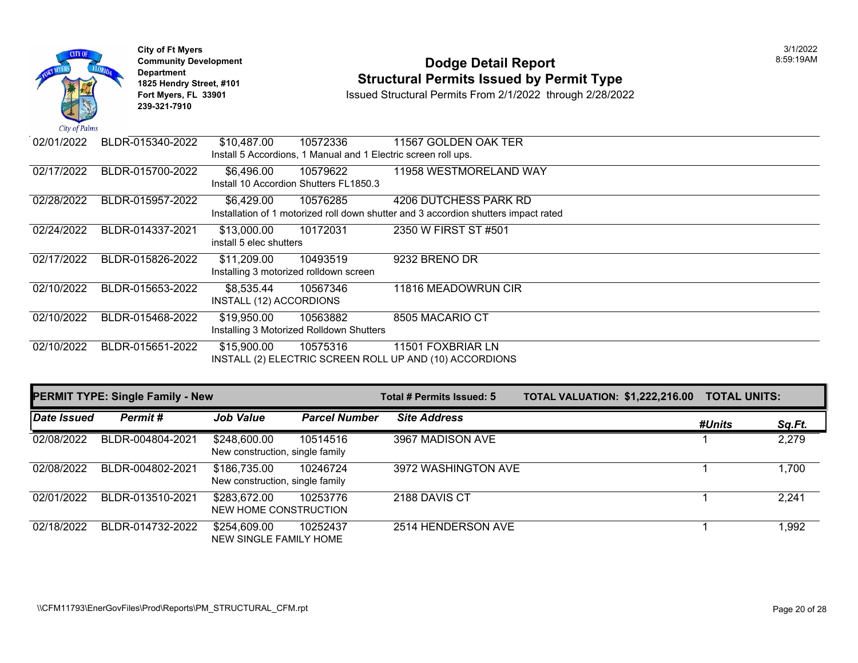

## **Community Development Dodge Detail Report** 8:59:19AM **1825 Hendry Street, #101**<br>1825 Hendry Street, #101 **Structural Permits Issued by Permit Type**<br>1892 Fort Myers, FL 33901 **Structural Permits From 2/1/2022** through 2/28/202

| 02/01/2022 | BLDR-015340-2022 | \$10,487.00                                           | 10572336                                                       | 11567 GOLDEN OAK TER                                                                                         |
|------------|------------------|-------------------------------------------------------|----------------------------------------------------------------|--------------------------------------------------------------------------------------------------------------|
|            |                  |                                                       | Install 5 Accordions, 1 Manual and 1 Electric screen roll ups. |                                                                                                              |
| 02/17/2022 | BLDR-015700-2022 | \$6,496.00                                            | 10579622<br>Install 10 Accordion Shutters FL1850.3             | 11958 WESTMORELAND WAY                                                                                       |
| 02/28/2022 | BLDR-015957-2022 | \$6,429.00                                            | 10576285                                                       | 4206 DUTCHESS PARK RD<br>Installation of 1 motorized roll down shutter and 3 accordion shutters impact rated |
| 02/24/2022 | BLDR-014337-2021 | \$13,000.00<br>install 5 elec shutters                | 10172031                                                       | 2350 W FIRST ST #501                                                                                         |
| 02/17/2022 | BLDR-015826-2022 | \$11,209.00<br>Installing 3 motorized rolldown screen | 10493519                                                       | 9232 BRENO DR                                                                                                |
| 02/10/2022 | BLDR-015653-2022 | \$8,535.44<br>INSTALL (12) ACCORDIONS                 | 10567346                                                       | 11816 MEADOWRUN CIR                                                                                          |
| 02/10/2022 | BLDR-015468-2022 | \$19,950.00                                           | 10563882<br>Installing 3 Motorized Rolldown Shutters           | 8505 MACARIO CT                                                                                              |
| 02/10/2022 | BLDR-015651-2022 | \$15,900.00                                           | 10575316                                                       | 11501 FOXBRIAR LN<br>INSTALL (2) ELECTRIC SCREEN ROLL UP AND (10) ACCORDIONS                                 |

|             | <b>PERMIT TYPE: Single Family - New</b> |                                                 |                      | Total # Permits Issued: 5 | <b>TOTAL VALUATION: \$1,222,216.00</b> | <b>TOTAL UNITS:</b> |        |
|-------------|-----------------------------------------|-------------------------------------------------|----------------------|---------------------------|----------------------------------------|---------------------|--------|
| Date Issued | Permit#                                 | <b>Job Value</b>                                | <b>Parcel Number</b> | <b>Site Address</b>       |                                        | #Units              | Sq.Ft. |
| 02/08/2022  | BLDR-004804-2021                        | \$248,600.00<br>New construction, single family | 10514516             | 3967 MADISON AVE          |                                        |                     | 2,279  |
| 02/08/2022  | BLDR-004802-2021                        | \$186,735.00<br>New construction, single family | 10246724             | 3972 WASHINGTON AVE       |                                        |                     | 1,700  |
| 02/01/2022  | BLDR-013510-2021                        | \$283,672.00<br>NEW HOME CONSTRUCTION           | 10253776             | 2188 DAVIS CT             |                                        |                     | 2,241  |
| 02/18/2022  | BLDR-014732-2022                        | \$254,609.00<br>NEW SINGLE FAMILY HOME          | 10252437             | 2514 HENDERSON AVE        |                                        |                     | 1,992  |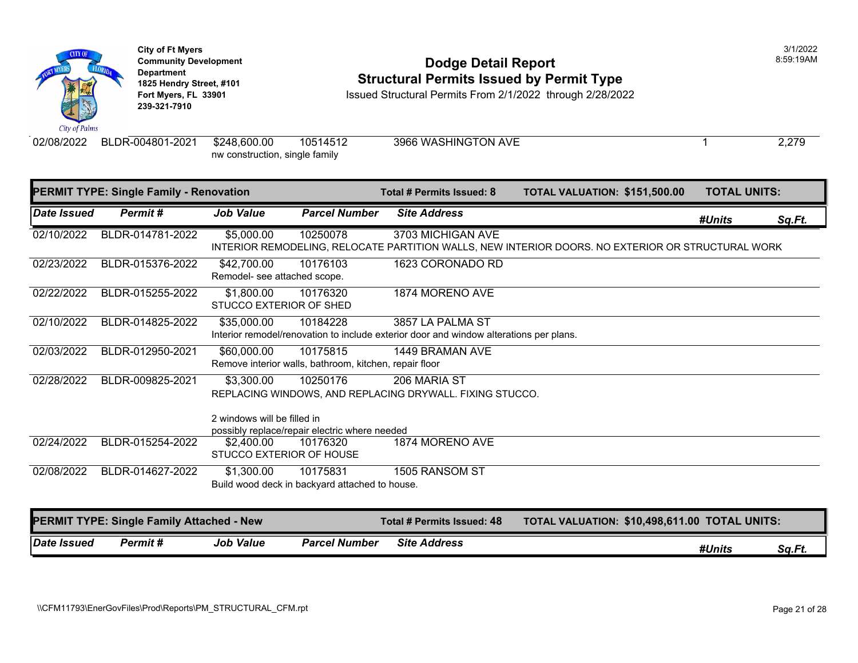

**City of Ft Myers** 3/1/2022 **Department 239-321-7910** 

#### **Community Development Community Development Community Development 1825 Hendry Street, #101**<br>1825 Hendry Street, #101 **Structural Permits Issued by Permit Type**<br>1928/2023 Fort Myers, FL 33901 **Structural Permits From 2/1/2022** through 2

**Issued Structural Permits From 2/1/2022 through 2/28/2022** 

02/08/2022 BLDR-004801-2021 \$248,600.00 10514512 3966 WASHINGTON AVE nw construction, single family

|                           | <b>PERMIT TYPE: Single Family - Renovation</b>   |                                             |                                                                    | Total # Permits Issued: 8                                                                                  | <b>TOTAL VALUATION: \$151,50</b> |  |
|---------------------------|--------------------------------------------------|---------------------------------------------|--------------------------------------------------------------------|------------------------------------------------------------------------------------------------------------|----------------------------------|--|
| <i><b>Date Issued</b></i> | Permit#                                          | <b>Job Value</b>                            | <b>Parcel Number</b>                                               | <b>Site Address</b>                                                                                        |                                  |  |
| 02/10/2022                | BLDR-014781-2022                                 | \$5,000.00                                  | 10250078                                                           | 3703 MICHIGAN AVE<br>INTERIOR REMODELING, RELOCATE PARTITION WALLS, NEW INTERIOR DOORS. NO EXTERIOR        |                                  |  |
| 02/23/2022                | BLDR-015376-2022                                 | \$42,700.00<br>Remodel- see attached scope. | 10176103                                                           | 1623 CORONADO RD                                                                                           |                                  |  |
| 02/22/2022                | BLDR-015255-2022                                 | \$1,800.00<br>STUCCO EXTERIOR OF SHED       | 10176320                                                           | 1874 MORENO AVE                                                                                            |                                  |  |
| 02/10/2022                | BLDR-014825-2022                                 | \$35,000.00                                 | 10184228                                                           | 3857 LA PALMA ST<br>Interior remodel/renovation to include exterior door and window alterations per plans. |                                  |  |
| 02/03/2022                | BLDR-012950-2021                                 | \$60,000.00                                 | 10175815<br>Remove interior walls, bathroom, kitchen, repair floor | 1449 BRAMAN AVE                                                                                            |                                  |  |
| 02/28/2022                | BLDR-009825-2021                                 | \$3,300.00<br>2 windows will be filled in   | 10250176                                                           | 206 MARIA ST<br>REPLACING WINDOWS, AND REPLACING DRYWALL. FIXING STUCCO.                                   |                                  |  |
| 02/24/2022                | BLDR-015254-2022                                 | \$2,400.00<br>STUCCO EXTERIOR OF HOUSE      | possibly replace/repair electric where needed<br>10176320          | 1874 MORENO AVE                                                                                            |                                  |  |
| 02/08/2022                | BLDR-014627-2022                                 | \$1,300.00                                  | 10175831<br>Build wood deck in backyard attached to house.         | 1505 RANSOM ST                                                                                             |                                  |  |
|                           | <b>PERMIT TYPE: Single Family Attached - New</b> |                                             |                                                                    | <b>Total # Permits Issued: 48</b>                                                                          | <b>TOTAL VALUATION: \$10,498</b> |  |

| Date Issued | Permit # | Value<br>Job | <b>Parcel Number</b> | <b>Address</b><br><b>Site</b> |
|-------------|----------|--------------|----------------------|-------------------------------|
|             |          |              |                      |                               |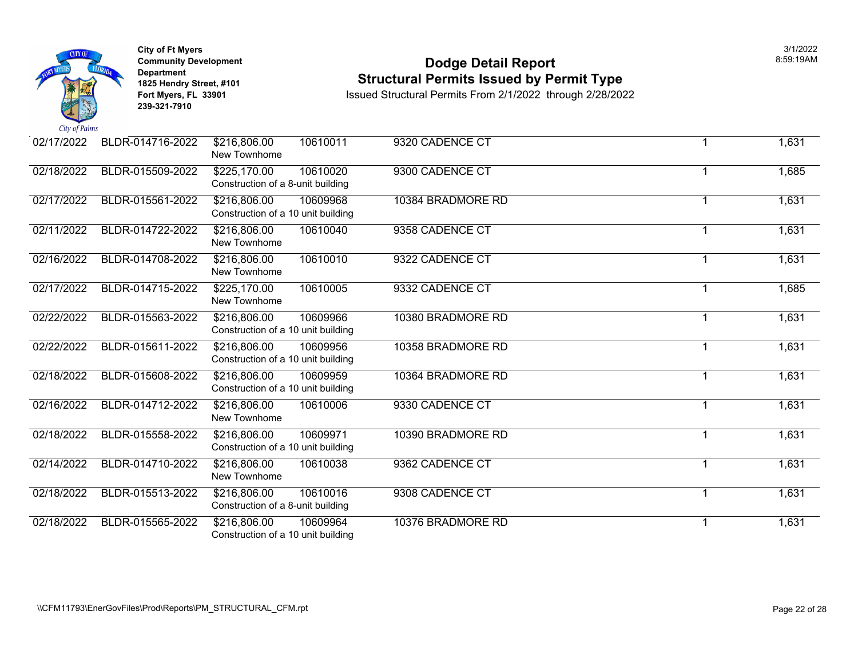

#### **Community Development Dodge Detail Report** 8:59:19AM **1825 Hendry Street, #101**<br>1825 Hendry Street, #101 **Structural Permits Issued by Permit Type**<br>1892 Fort Myers, FL 33901 **Structural Permits From 2/1/2022** through 2/28/202

| 02/17/2022 | BLDR-014716-2022 | 10610011<br>\$216,806.00<br>New Townhome                       | 9320 CADENCE CT   |   | 1,631 |
|------------|------------------|----------------------------------------------------------------|-------------------|---|-------|
| 02/18/2022 | BLDR-015509-2022 | \$225,170.00<br>10610020<br>Construction of a 8-unit building  | 9300 CADENCE CT   |   | 1,685 |
| 02/17/2022 | BLDR-015561-2022 | \$216,806.00<br>10609968<br>Construction of a 10 unit building | 10384 BRADMORE RD | 1 | 1,631 |
| 02/11/2022 | BLDR-014722-2022 | \$216,806.00<br>10610040<br>New Townhome                       | 9358 CADENCE CT   | 1 | 1,631 |
| 02/16/2022 | BLDR-014708-2022 | \$216,806.00<br>10610010<br>New Townhome                       | 9322 CADENCE CT   | 1 | 1,631 |
| 02/17/2022 | BLDR-014715-2022 | \$225,170.00<br>10610005<br>New Townhome                       | 9332 CADENCE CT   | 1 | 1,685 |
| 02/22/2022 | BLDR-015563-2022 | \$216,806.00<br>10609966<br>Construction of a 10 unit building | 10380 BRADMORE RD | 1 | 1,631 |
| 02/22/2022 | BLDR-015611-2022 | \$216,806.00<br>10609956<br>Construction of a 10 unit building | 10358 BRADMORE RD | 1 | 1,631 |
| 02/18/2022 | BLDR-015608-2022 | \$216,806.00<br>10609959<br>Construction of a 10 unit building | 10364 BRADMORE RD | 1 | 1,631 |
| 02/16/2022 | BLDR-014712-2022 | \$216,806.00<br>10610006<br>New Townhome                       | 9330 CADENCE CT   | 1 | 1,631 |
| 02/18/2022 | BLDR-015558-2022 | \$216,806.00<br>10609971<br>Construction of a 10 unit building | 10390 BRADMORE RD | 1 | 1,631 |
| 02/14/2022 | BLDR-014710-2022 | \$216,806.00<br>10610038<br>New Townhome                       | 9362 CADENCE CT   | 1 | 1,631 |
| 02/18/2022 | BLDR-015513-2022 | \$216,806.00<br>10610016<br>Construction of a 8-unit building  | 9308 CADENCE CT   | 1 | 1,631 |
| 02/18/2022 | BLDR-015565-2022 | \$216,806.00<br>10609964<br>Construction of a 10 unit building | 10376 BRADMORE RD | 1 | 1,631 |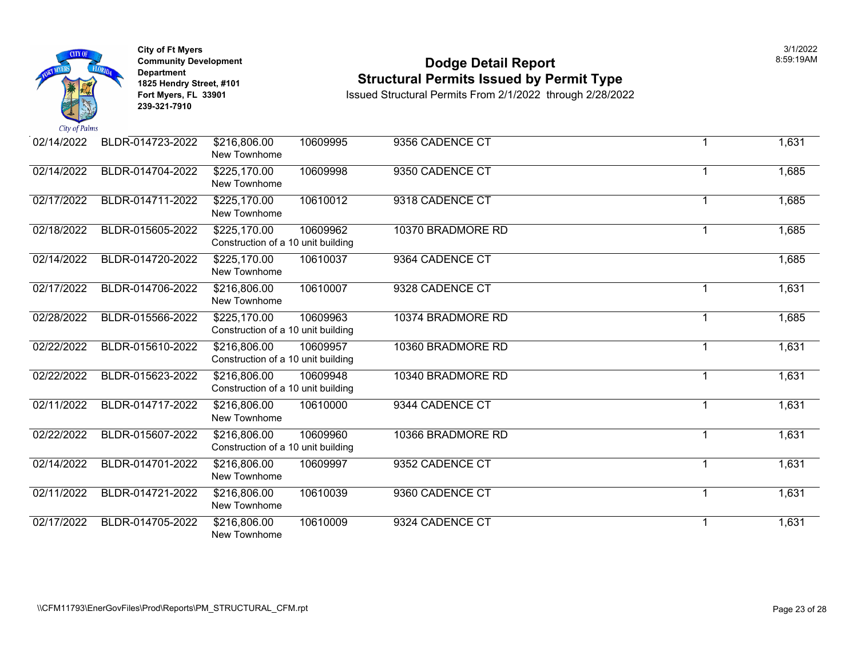

#### **Community Development Dodge Detail Report** 8:59:19AM **1825 Hendry Street, #101**<br>1825 Hendry Street, #101 **Structural Permits Issued by Permit Type**<br>1892 Fort Myers, FL 33901 **Structural Permits From 2/1/2022** through 2/28/202

| 02/14/2022 | BLDR-014723-2022 | \$216,806.00<br>New Townhome                       | 10609995 | 9356 CADENCE CT   | 1 |   | 1,631 |
|------------|------------------|----------------------------------------------------|----------|-------------------|---|---|-------|
| 02/14/2022 | BLDR-014704-2022 | \$225,170.00<br>New Townhome                       | 10609998 | 9350 CADENCE CT   |   |   | 1,685 |
| 02/17/2022 | BLDR-014711-2022 | \$225,170.00<br>New Townhome                       | 10610012 | 9318 CADENCE CT   | 1 |   | 1,685 |
| 02/18/2022 | BLDR-015605-2022 | \$225,170.00<br>Construction of a 10 unit building | 10609962 | 10370 BRADMORE RD | 1 |   | 1,685 |
| 02/14/2022 | BLDR-014720-2022 | \$225,170.00<br>New Townhome                       | 10610037 | 9364 CADENCE CT   |   |   | 1,685 |
| 02/17/2022 | BLDR-014706-2022 | \$216,806.00<br>New Townhome                       | 10610007 | 9328 CADENCE CT   | 1 |   | 1,631 |
| 02/28/2022 | BLDR-015566-2022 | \$225,170.00<br>Construction of a 10 unit building | 10609963 | 10374 BRADMORE RD | 1 |   | 1,685 |
| 02/22/2022 | BLDR-015610-2022 | \$216,806.00<br>Construction of a 10 unit building | 10609957 | 10360 BRADMORE RD | 1 |   | 1,631 |
| 02/22/2022 | BLDR-015623-2022 | \$216,806.00<br>Construction of a 10 unit building | 10609948 | 10340 BRADMORE RD | 1 |   | 1,631 |
| 02/11/2022 | BLDR-014717-2022 | \$216,806.00<br>New Townhome                       | 10610000 | 9344 CADENCE CT   | 1 |   | 1,631 |
| 02/22/2022 | BLDR-015607-2022 | \$216,806.00<br>Construction of a 10 unit building | 10609960 | 10366 BRADMORE RD |   | 1 | 1,631 |
| 02/14/2022 | BLDR-014701-2022 | \$216,806.00<br>New Townhome                       | 10609997 | 9352 CADENCE CT   | 1 |   | 1,631 |
| 02/11/2022 | BLDR-014721-2022 | \$216,806.00<br>New Townhome                       | 10610039 | 9360 CADENCE CT   | 1 |   | 1,631 |
| 02/17/2022 | BLDR-014705-2022 | \$216,806.00<br>New Townhome                       | 10610009 | 9324 CADENCE CT   | 1 |   | 1,631 |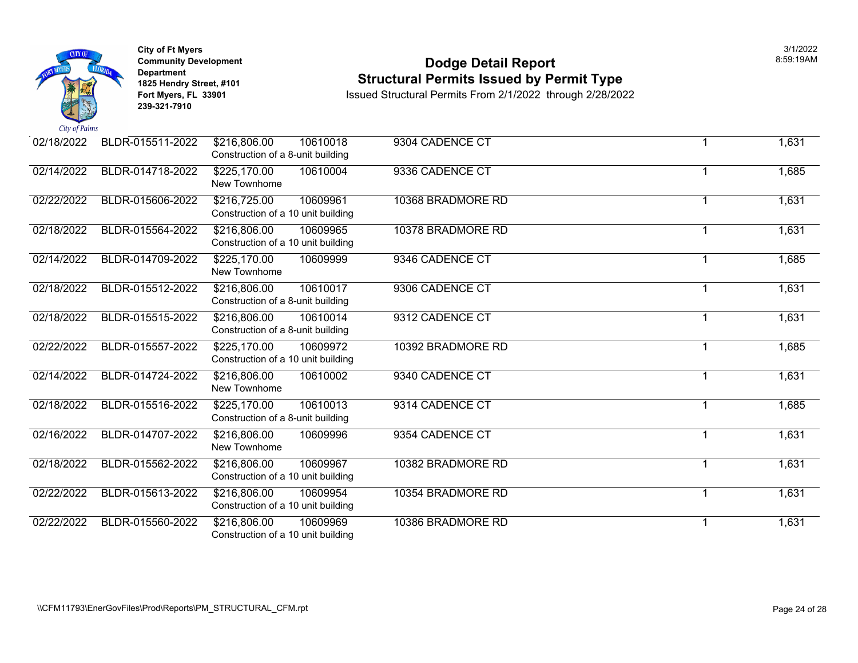

#### **Community Development Dodge Detail Report** 8:59:19AM **1825 Hendry Street, #101**<br>1825 Hendry Street, #101 **Structural Permits Issued by Permit Type**<br>1892 Fort Myers, FL 33901 **Structural Permits From 2/1/2022** through 2/28/202

| 02/18/2022 | BLDR-015511-2022 | 10610018<br>\$216,806.00<br>Construction of a 8-unit building  | 9304 CADENCE CT   |   | 1,631 |
|------------|------------------|----------------------------------------------------------------|-------------------|---|-------|
| 02/14/2022 | BLDR-014718-2022 | \$225,170.00<br>10610004<br>New Townhome                       | 9336 CADENCE CT   |   | 1,685 |
| 02/22/2022 | BLDR-015606-2022 | \$216,725.00<br>10609961<br>Construction of a 10 unit building | 10368 BRADMORE RD | 1 | 1,631 |
| 02/18/2022 | BLDR-015564-2022 | \$216,806.00<br>10609965<br>Construction of a 10 unit building | 10378 BRADMORE RD | 1 | 1,631 |
| 02/14/2022 | BLDR-014709-2022 | \$225,170.00<br>10609999<br>New Townhome                       | 9346 CADENCE CT   |   | 1,685 |
| 02/18/2022 | BLDR-015512-2022 | \$216,806.00<br>10610017<br>Construction of a 8-unit building  | 9306 CADENCE CT   | 1 | 1,631 |
| 02/18/2022 | BLDR-015515-2022 | 10610014<br>\$216,806.00<br>Construction of a 8-unit building  | 9312 CADENCE CT   | 1 | 1,631 |
| 02/22/2022 | BLDR-015557-2022 | \$225,170.00<br>10609972<br>Construction of a 10 unit building | 10392 BRADMORE RD | 1 | 1,685 |
| 02/14/2022 | BLDR-014724-2022 | \$216,806.00<br>10610002<br>New Townhome                       | 9340 CADENCE CT   | 1 | 1,631 |
| 02/18/2022 | BLDR-015516-2022 | 10610013<br>\$225,170.00<br>Construction of a 8-unit building  | 9314 CADENCE CT   |   | 1,685 |
| 02/16/2022 | BLDR-014707-2022 | \$216,806.00<br>10609996<br>New Townhome                       | 9354 CADENCE CT   | 1 | 1,631 |
| 02/18/2022 | BLDR-015562-2022 | \$216,806.00<br>10609967<br>Construction of a 10 unit building | 10382 BRADMORE RD | 1 | 1,631 |
| 02/22/2022 | BLDR-015613-2022 | \$216,806.00<br>10609954<br>Construction of a 10 unit building | 10354 BRADMORE RD | 1 | 1,631 |
| 02/22/2022 | BLDR-015560-2022 | \$216,806.00<br>10609969<br>Construction of a 10 unit building | 10386 BRADMORE RD | 1 | 1,631 |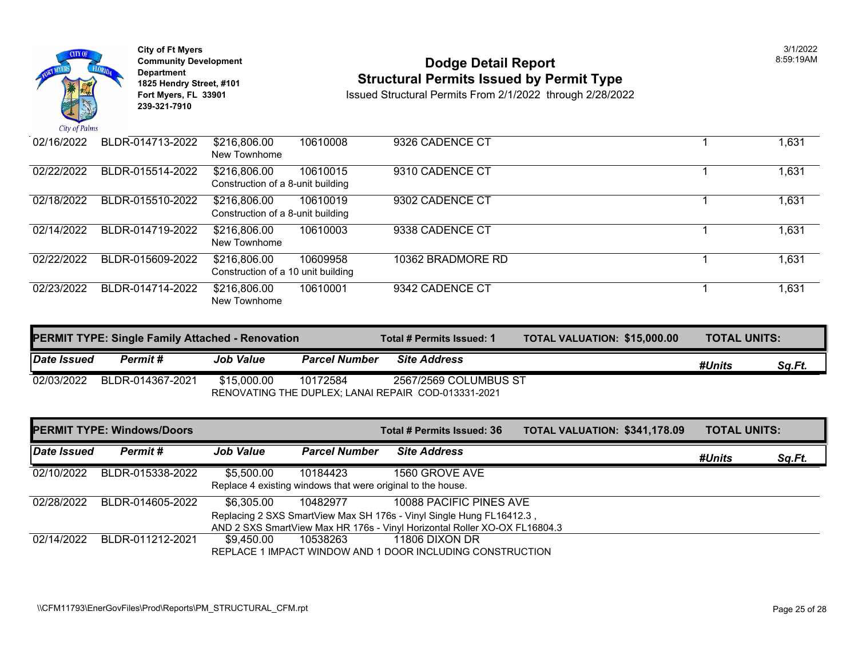

**City of Ft Myers** 3/1/2022 **Department 239-321-7910** 

# City of Ft Myers<br>
Community Development<br> **Dodge Detail Report 1825 Hendry Street, #101** Structural Permits Issued by Permit Type<br>1825 Hendry Street, #101 **Structural Permits Issued Structural Permits From 2/1/2022** through 2/28/202

| 02/16/2022 | BLDR-014713-2022 | \$216,806.00<br>New Townhome                       | 10610008 | 9326 CADENCE CT   |
|------------|------------------|----------------------------------------------------|----------|-------------------|
| 02/22/2022 | BLDR-015514-2022 | \$216,806.00<br>Construction of a 8-unit building  | 10610015 | 9310 CADENCE CT   |
| 02/18/2022 | BLDR-015510-2022 | \$216,806.00<br>Construction of a 8-unit building  | 10610019 | 9302 CADENCE CT   |
| 02/14/2022 | BLDR-014719-2022 | \$216,806.00<br>New Townhome                       | 10610003 | 9338 CADENCE CT   |
| 02/22/2022 | BLDR-015609-2022 | \$216,806.00<br>Construction of a 10 unit building | 10609958 | 10362 BRADMORE RD |
| 02/23/2022 | BLDR-014714-2022 | \$216,806.00<br>New Townhome                       | 10610001 | 9342 CADENCE CT   |

|             | <b>PERMIT TYPE: Single Family Attached - Renovation</b> |                  |                      | Total # Permits Issued: 1                           | <b>TOTAL VALUATION: \$15,000</b> |
|-------------|---------------------------------------------------------|------------------|----------------------|-----------------------------------------------------|----------------------------------|
| Date Issued | Permit #                                                | <b>Job Value</b> | <b>Parcel Number</b> | <b>Site Address</b>                                 |                                  |
| 02/03/2022  | BLDR-014367-2021                                        | \$15,000.00      | 10172584             | 2567/2569 COLUMBUS ST                               |                                  |
|             |                                                         |                  |                      | RENOVATING THE DUPLEX; LANAI REPAIR COD-013331-2021 |                                  |

|             | <b>PERMIT TYPE: Windows/Doors</b> |                  |                      | Total # Permits Issued: 36                                                | <b>TOTAL VALUATION: \$341,17</b> |  |
|-------------|-----------------------------------|------------------|----------------------|---------------------------------------------------------------------------|----------------------------------|--|
| Date Issued | Permit#                           | <b>Job Value</b> | <b>Parcel Number</b> | <b>Site Address</b>                                                       |                                  |  |
| 02/10/2022  | BLDR-015338-2022                  | \$5,500.00       | 10184423             | 1560 GROVE AVE                                                            |                                  |  |
|             |                                   |                  |                      | Replace 4 existing windows that were original to the house.               |                                  |  |
| 02/28/2022  | BLDR-014605-2022                  | \$6,305.00       | 10482977             | 10088 PACIFIC PINES AVE                                                   |                                  |  |
|             |                                   |                  |                      | Replacing 2 SXS SmartView Max SH 176s - Vinyl Single Hung FL16412.3,      |                                  |  |
|             |                                   |                  |                      | AND 2 SXS SmartView Max HR 176s - Vinyl Horizontal Roller XO-OX FL16804.3 |                                  |  |
| 02/14/2022  | BLDR-011212-2021                  | \$9,450.00       | 10538263             | 11806 DIXON DR                                                            |                                  |  |
|             |                                   |                  |                      | REPLACE 1 IMPACT WINDOW AND 1 DOOR INCLUDING CONSTRUCTION                 |                                  |  |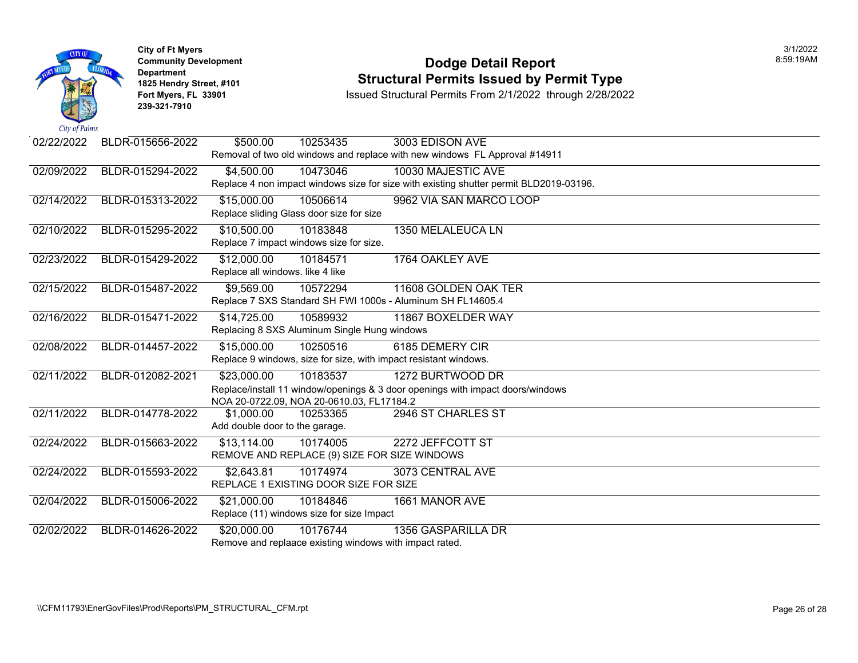

#### **Community Development Community Development Community Development 1825 Hendry Street, #101 1825 Hendry Street, #101 1825 Hendry Street, #101 Structural Permits Issued by Permit Type**<br>**1825 Fort Myers, FL 33901 1898 ISSued Structural Permits From 2/1/2022** through 2/28/202

| 02/22/2022                                                                     | BLDR-015656-2022 | \$500.00                         | 10253435                                                | 3003 EDISON AVE                                                                        |  |  |  |
|--------------------------------------------------------------------------------|------------------|----------------------------------|---------------------------------------------------------|----------------------------------------------------------------------------------------|--|--|--|
|                                                                                |                  |                                  |                                                         | Removal of two old windows and replace with new windows FL Approval #14911             |  |  |  |
| 02/09/2022                                                                     | BLDR-015294-2022 | \$4,500.00                       | 10473046                                                | 10030 MAJESTIC AVE                                                                     |  |  |  |
|                                                                                |                  |                                  |                                                         | Replace 4 non impact windows size for size with existing shutter permit BLD2019-03196. |  |  |  |
| 02/14/2022                                                                     | BLDR-015313-2022 | \$15,000.00                      | 10506614                                                | 9962 VIA SAN MARCO LOOP                                                                |  |  |  |
|                                                                                |                  |                                  | Replace sliding Glass door size for size                |                                                                                        |  |  |  |
| 02/10/2022                                                                     | BLDR-015295-2022 | \$10,500.00                      | 10183848                                                | 1350 MELALEUCA LN                                                                      |  |  |  |
|                                                                                |                  |                                  | Replace 7 impact windows size for size.                 |                                                                                        |  |  |  |
| 02/23/2022                                                                     | BLDR-015429-2022 | \$12,000.00                      | 10184571                                                | 1764 OAKLEY AVE                                                                        |  |  |  |
|                                                                                |                  | Replace all windows. like 4 like |                                                         |                                                                                        |  |  |  |
| 02/15/2022                                                                     | BLDR-015487-2022 | \$9,569.00                       | 10572294                                                | 11608 GOLDEN OAK TER                                                                   |  |  |  |
|                                                                                |                  |                                  |                                                         | Replace 7 SXS Standard SH FWI 1000s - Aluminum SH FL14605.4                            |  |  |  |
| 02/16/2022                                                                     | BLDR-015471-2022 | \$14,725.00                      | 10589932                                                | 11867 BOXELDER WAY                                                                     |  |  |  |
|                                                                                |                  |                                  | Replacing 8 SXS Aluminum Single Hung windows            |                                                                                        |  |  |  |
| 02/08/2022                                                                     | BLDR-014457-2022 | \$15,000.00                      | 10250516                                                | 6185 DEMERY CIR                                                                        |  |  |  |
|                                                                                |                  |                                  |                                                         | Replace 9 windows, size for size, with impact resistant windows.                       |  |  |  |
| 02/11/2022                                                                     | BLDR-012082-2021 | $\sqrt{$23,000.00}$              | 10183537                                                | 1272 BURTWOOD DR                                                                       |  |  |  |
| Replace/install 11 window/openings & 3 door openings with impact doors/windows |                  |                                  |                                                         |                                                                                        |  |  |  |
| NOA 20-0722.09, NOA 20-0610.03, FL17184.2                                      |                  |                                  |                                                         |                                                                                        |  |  |  |
| 02/11/2022                                                                     | BLDR-014778-2022 | \$1,000.00                       | 10253365                                                | 2946 ST CHARLES ST                                                                     |  |  |  |
|                                                                                |                  | Add double door to the garage.   |                                                         |                                                                                        |  |  |  |
| 02/24/2022                                                                     | BLDR-015663-2022 | \$13,114.00                      | 10174005                                                | 2272 JEFFCOTT ST                                                                       |  |  |  |
|                                                                                |                  |                                  | REMOVE AND REPLACE (9) SIZE FOR SIZE WINDOWS            |                                                                                        |  |  |  |
| 02/24/2022                                                                     | BLDR-015593-2022 | \$2,643.81                       | 10174974                                                | 3073 CENTRAL AVE                                                                       |  |  |  |
|                                                                                |                  |                                  | REPLACE 1 EXISTING DOOR SIZE FOR SIZE                   |                                                                                        |  |  |  |
| 02/04/2022                                                                     | BLDR-015006-2022 | \$21,000.00                      | 10184846                                                | 1661 MANOR AVE                                                                         |  |  |  |
|                                                                                |                  |                                  | Replace (11) windows size for size Impact               |                                                                                        |  |  |  |
| 02/02/2022                                                                     | BLDR-014626-2022 | \$20,000.00                      | 10176744                                                | 1356 GASPARILLA DR                                                                     |  |  |  |
|                                                                                |                  |                                  | Remove and replaace existing windows with impact rated. |                                                                                        |  |  |  |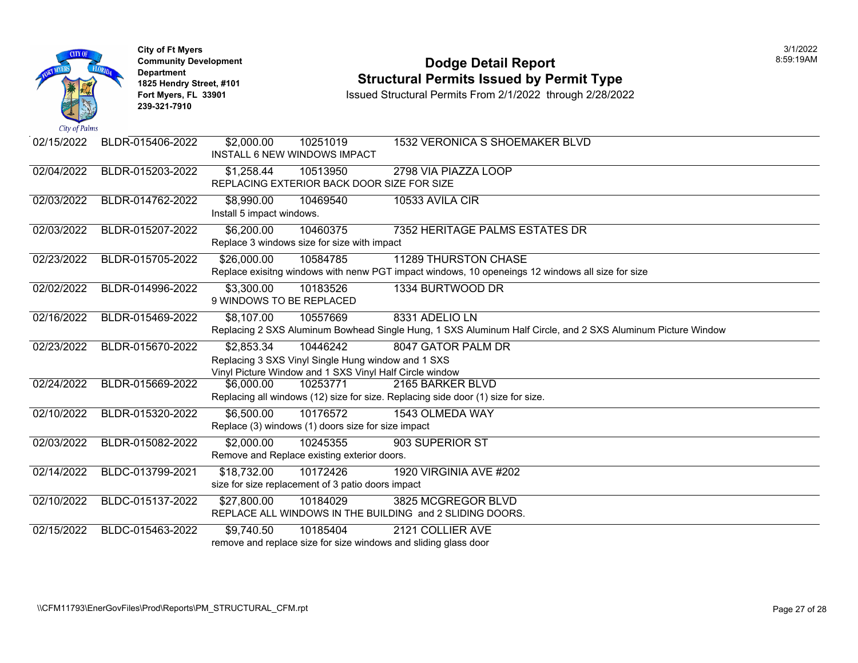